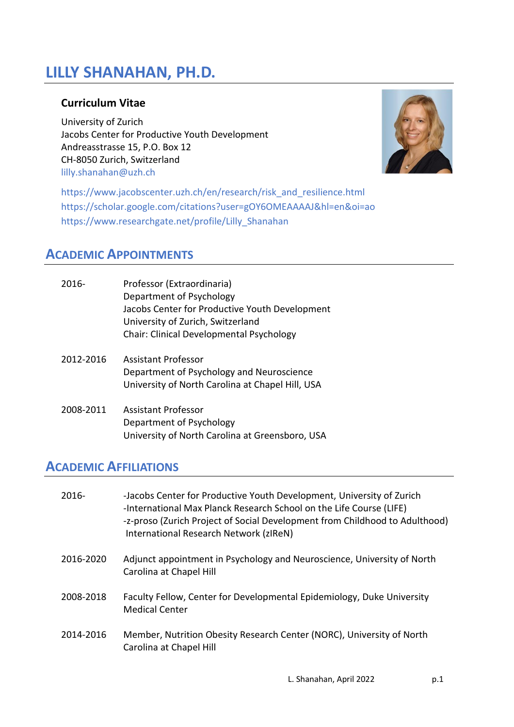# **LILLY SHANAHAN, PH.D.**

## **Curriculum Vitae**

University of Zurich Jacobs Center for Productive Youth Development Andreasstrasse 15, P.O. Box 12 CH-8050 Zurich, Switzerland [lilly.shanahan@uzh.ch](mailto:lilly.shanahan@uzh.ch)



[https://www.jacobscenter.uzh.ch/en/research/risk\\_and\\_resilience.html](https://www.jacobscenter.uzh.ch/en/research/risk_and_resilience.html) https://scholar.google.com/citations?user=gOY6OMEAAAAJ&hl=en&oi=ao [https://www.researchgate.net/profile/Lilly\\_Shanahan](https://www.researchgate.net/profile/Lilly_Shanahan)

## **ACADEMIC APPOINTMENTS**

| $2016 -$  | Professor (Extraordinaria)<br>Department of Psychology<br>Jacobs Center for Productive Youth Development<br>University of Zurich, Switzerland<br>Chair: Clinical Developmental Psychology |
|-----------|-------------------------------------------------------------------------------------------------------------------------------------------------------------------------------------------|
| 2012-2016 | Assistant Professor<br>Department of Psychology and Neuroscience<br>University of North Carolina at Chapel Hill, USA                                                                      |
| 2008-2011 | Assistant Professor<br>Department of Psychology<br>University of North Carolina at Greensboro, USA                                                                                        |

## **ACADEMIC AFFILIATIONS**

| $2016 -$  | -Jacobs Center for Productive Youth Development, University of Zurich<br>-International Max Planck Research School on the Life Course (LIFE)<br>-z-proso (Zurich Project of Social Development from Childhood to Adulthood)<br>International Research Network (zIReN) |
|-----------|-----------------------------------------------------------------------------------------------------------------------------------------------------------------------------------------------------------------------------------------------------------------------|
| 2016-2020 | Adjunct appointment in Psychology and Neuroscience, University of North<br>Carolina at Chapel Hill                                                                                                                                                                    |
| 2008-2018 | Faculty Fellow, Center for Developmental Epidemiology, Duke University<br><b>Medical Center</b>                                                                                                                                                                       |
| 2014-2016 | Member, Nutrition Obesity Research Center (NORC), University of North<br>Carolina at Chapel Hill                                                                                                                                                                      |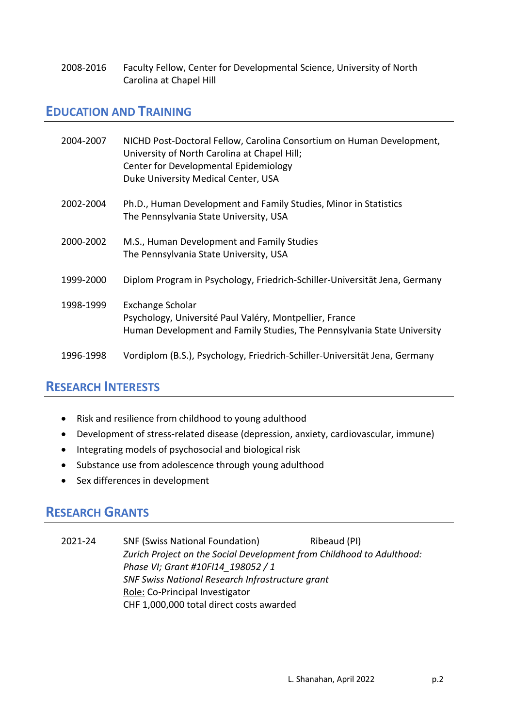2008-2016 Faculty Fellow, Center for Developmental Science, University of North Carolina at Chapel Hill

## **EDUCATION AND TRAINING**

| 2004-2007 | NICHD Post-Doctoral Fellow, Carolina Consortium on Human Development,<br>University of North Carolina at Chapel Hill;<br>Center for Developmental Epidemiology<br>Duke University Medical Center, USA |
|-----------|-------------------------------------------------------------------------------------------------------------------------------------------------------------------------------------------------------|
| 2002-2004 | Ph.D., Human Development and Family Studies, Minor in Statistics<br>The Pennsylvania State University, USA                                                                                            |
| 2000-2002 | M.S., Human Development and Family Studies<br>The Pennsylvania State University, USA                                                                                                                  |
| 1999-2000 | Diplom Program in Psychology, Friedrich-Schiller-Universität Jena, Germany                                                                                                                            |
| 1998-1999 | Exchange Scholar<br>Psychology, Université Paul Valéry, Montpellier, France<br>Human Development and Family Studies, The Pennsylvania State University                                                |
| 1996-1998 | Vordiplom (B.S.), Psychology, Friedrich-Schiller-Universität Jena, Germany                                                                                                                            |

## **RESEARCH INTERESTS**

- Risk and resilience from childhood to young adulthood
- Development of stress-related disease (depression, anxiety, cardiovascular, immune)
- Integrating models of psychosocial and biological risk
- Substance use from adolescence through young adulthood
- Sex differences in development

## **RESEARCH GRANTS**

2021-24 SNF (Swiss National Foundation) Ribeaud (PI) *Zurich Project on the Social Development from Childhood to Adulthood: Phase VI; Grant #10FI14\_198052 / 1 SNF Swiss National Research Infrastructure grant* Role: Co-Principal Investigator CHF 1,000,000 total direct costs awarded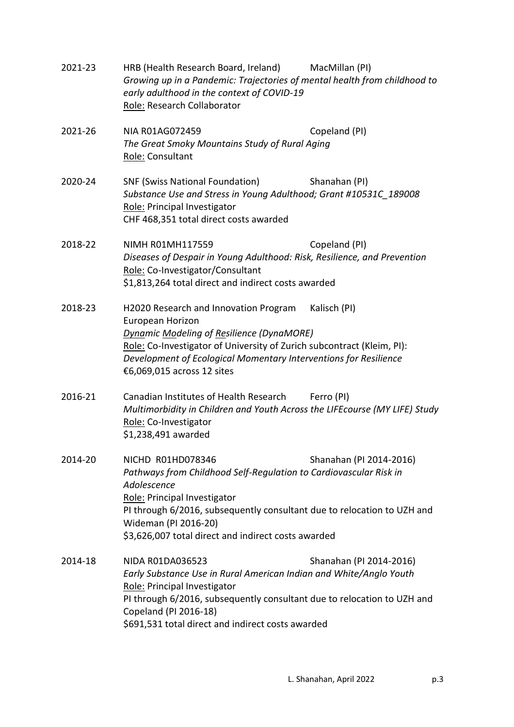| 2021-23 | HRB (Health Research Board, Ireland)<br>Growing up in a Pandemic: Trajectories of mental health from childhood to<br>early adulthood in the context of COVID-19<br>Role: Research Collaborator                                                                                                  | MacMillan (PI)          |
|---------|-------------------------------------------------------------------------------------------------------------------------------------------------------------------------------------------------------------------------------------------------------------------------------------------------|-------------------------|
| 2021-26 | NIA R01AG072459<br>The Great Smoky Mountains Study of Rural Aging<br>Role: Consultant                                                                                                                                                                                                           | Copeland (PI)           |
| 2020-24 | <b>SNF (Swiss National Foundation)</b><br>Substance Use and Stress in Young Adulthood; Grant #10531C_189008<br>Role: Principal Investigator<br>CHF 468,351 total direct costs awarded                                                                                                           | Shanahan (PI)           |
| 2018-22 | NIMH R01MH117559<br>Diseases of Despair in Young Adulthood: Risk, Resilience, and Prevention<br>Role: Co-Investigator/Consultant<br>\$1,813,264 total direct and indirect costs awarded                                                                                                         | Copeland (PI)           |
| 2018-23 | H2020 Research and Innovation Program<br>European Horizon<br><b>Dynamic Modeling of Resilience (DynaMORE)</b><br>Role: Co-Investigator of University of Zurich subcontract (Kleim, PI):<br>Development of Ecological Momentary Interventions for Resilience<br>€6,069,015 across 12 sites       | Kalisch (PI)            |
| 2016-21 | Canadian Institutes of Health Research<br>Multimorbidity in Children and Youth Across the LIFEcourse (MY LIFE) Study<br>Role: Co-Investigator<br>\$1,238,491 awarded                                                                                                                            | Ferro (PI)              |
| 2014-20 | NICHD R01HD078346<br>Pathways from Childhood Self-Regulation to Cardiovascular Risk in<br>Adolescence<br>Role: Principal Investigator<br>PI through 6/2016, subsequently consultant due to relocation to UZH and<br>Wideman (PI 2016-20)<br>\$3,626,007 total direct and indirect costs awarded | Shanahan (PI 2014-2016) |
| 2014-18 | NIDA R01DA036523<br>Early Substance Use in Rural American Indian and White/Anglo Youth<br>Role: Principal Investigator<br>PI through 6/2016, subsequently consultant due to relocation to UZH and<br>Copeland (PI 2016-18)<br>\$691,531 total direct and indirect costs awarded                 | Shanahan (PI 2014-2016) |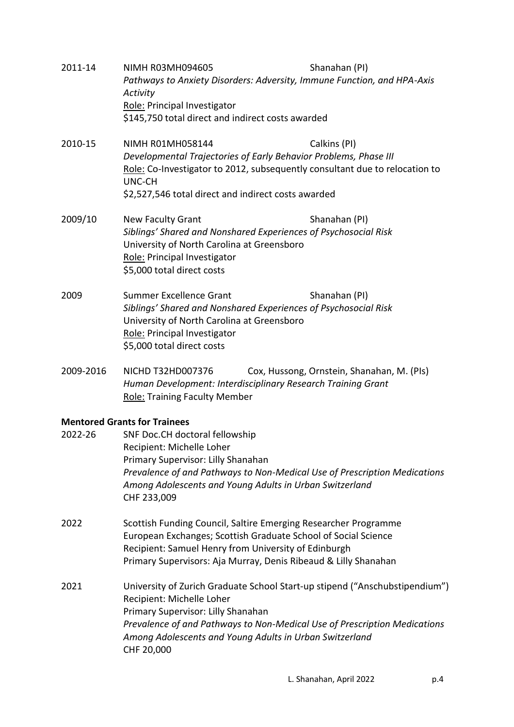| 2011-14   | <b>NIMH R03MH094605</b><br>Activity<br>Role: Principal Investigator<br>\$145,750 total direct and indirect costs awarded                                                                                | Shanahan (PI)<br>Pathways to Anxiety Disorders: Adversity, Immune Function, and HPA-Axis    |  |
|-----------|---------------------------------------------------------------------------------------------------------------------------------------------------------------------------------------------------------|---------------------------------------------------------------------------------------------|--|
| 2010-15   | <b>NIMH RO1MH058144</b><br>Developmental Trajectories of Early Behavior Problems, Phase III<br>UNC-CH<br>\$2,527,546 total direct and indirect costs awarded                                            | Calkins (PI)<br>Role: Co-Investigator to 2012, subsequently consultant due to relocation to |  |
| 2009/10   | <b>New Faculty Grant</b><br>Siblings' Shared and Nonshared Experiences of Psychosocial Risk<br>University of North Carolina at Greensboro<br>Role: Principal Investigator<br>\$5,000 total direct costs | Shanahan (PI)                                                                               |  |
| 2009      | Summer Excellence Grant<br>Siblings' Shared and Nonshared Experiences of Psychosocial Risk<br>University of North Carolina at Greensboro<br>Role: Principal Investigator<br>\$5,000 total direct costs  | Shanahan (PI)                                                                               |  |
| 2009-2016 | NICHD T32HD007376<br>Human Development: Interdisciplinary Research Training Grant<br><b>Role: Training Faculty Member</b>                                                                               | Cox, Hussong, Ornstein, Shanahan, M. (PIs)                                                  |  |
|           | <b>Mentored Grants for Trainees</b>                                                                                                                                                                     |                                                                                             |  |
| 2022-26   | SNF Doc.CH doctoral fellowship                                                                                                                                                                          |                                                                                             |  |
|           | Recipient: Michelle Loher<br>Primary Supervisor: Lilly Shanahan                                                                                                                                         |                                                                                             |  |
|           |                                                                                                                                                                                                         | Prevalence of and Pathways to Non-Medical Use of Prescription Medications                   |  |
|           | Among Adolescents and Young Adults in Urban Switzerland<br>CHF 233,009                                                                                                                                  |                                                                                             |  |
| 2022      | Scottish Funding Council, Saltire Emerging Researcher Programme                                                                                                                                         |                                                                                             |  |
|           | European Exchanges; Scottish Graduate School of Social Science<br>Recipient: Samuel Henry from University of Edinburgh                                                                                  |                                                                                             |  |
|           | Primary Supervisors: Aja Murray, Denis Ribeaud & Lilly Shanahan                                                                                                                                         |                                                                                             |  |
| 2021      |                                                                                                                                                                                                         | University of Zurich Graduate School Start-up stipend ("Anschubstipendium")                 |  |
|           | Recipient: Michelle Loher<br>Primary Supervisor: Lilly Shanahan                                                                                                                                         |                                                                                             |  |
|           |                                                                                                                                                                                                         | Prevalence of and Pathways to Non-Medical Use of Prescription Medications                   |  |
|           | Among Adolescents and Young Adults in Urban Switzerland<br>CHF 20,000                                                                                                                                   |                                                                                             |  |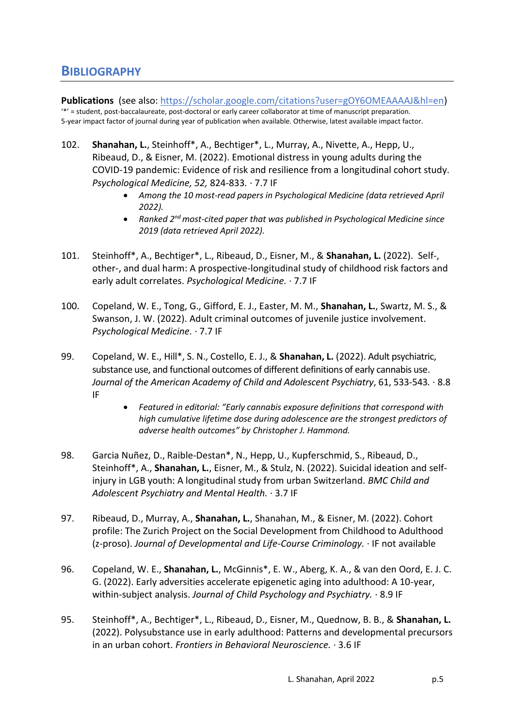## **BIBLIOGRAPHY**

**Publications** (see also: [https://scholar.google.com/citations?user=gOY6OMEAAAAJ&hl=en\)](https://scholar.google.com/citations?user=gOY6OMEAAAAJ&hl=en) '\*' = student, post-baccalaureate, post-doctoral or early career collaborator at time of manuscript preparation. 5-year impact factor of journal during year of publication when available. Otherwise, latest available impact factor.

- 102. **Shanahan, L.**, Steinhoff\*, A., Bechtiger\*, L., Murray, A., Nivette, A., Hepp, U., Ribeaud, D., & Eisner, M. (2022). Emotional distress in young adults during the COVID-19 pandemic: Evidence of risk and resilience from a longitudinal cohort study. *Psychological Medicine, 52,* 824-833*.* · 7.7 IF
	- *Among the 10 most-read papers in Psychological Medicine (data retrieved April 2022).*
	- **•** Ranked 2<sup>nd</sup> most-cited paper that was published in Psychological Medicine since *2019 (data retrieved April 2022).*
- 101. Steinhoff\*, A., Bechtiger\*, L., Ribeaud, D., Eisner, M., & **Shanahan, L.** (2022). Self-, other-, and dual harm: A prospective-longitudinal study of childhood risk factors and early adult correlates. *Psychological Medicine.* · 7.7 IF
- 100. Copeland, W. E., Tong, G., Gifford, E. J., Easter, M. M., **Shanahan, L.**, Swartz, M. S., & Swanson, J. W. (2022). Adult criminal outcomes of juvenile justice involvement. *Psychological Medicine.* · 7.7 IF
- 99. Copeland, W. E., Hill\*, S. N., Costello, E. J., & **Shanahan, L.** (2022). Adult psychiatric, substance use, and functional outcomes of different definitions of early cannabis use. *Journal of the American Academy of Child and Adolescent Psychiatry*, 61, 533-543*.* · 8.8 IF
	- *Featured in editorial: "Early cannabis exposure definitions that correspond with high cumulative lifetime dose during adolescence are the strongest predictors of adverse health outcomes" by Christopher J. Hammond.*
- 98. Garcia Nuñez, D., Raible-Destan\*, N., Hepp, U., Kupferschmid, S., Ribeaud, D., Steinhoff\*, A., **Shanahan, L.**, Eisner, M., & Stulz, N. (2022). Suicidal ideation and selfinjury in LGB youth: A longitudinal study from urban Switzerland. *BMC Child and Adolescent Psychiatry and Mental Health.* · 3.7 IF
- 97. Ribeaud, D., Murray, A., **Shanahan, L.**, Shanahan, M., & Eisner, M. (2022). Cohort profile: The Zurich Project on the Social Development from Childhood to Adulthood (z-proso). *Journal of Developmental and Life-Course Criminology.* · IF not available
- 96. Copeland, W. E., **Shanahan, L.**, McGinnis\*, E. W., Aberg, K. A., & van den Oord, E. J. C. G. (2022). Early adversities accelerate epigenetic aging into adulthood: A 10-year, within-subject analysis. *Journal of Child Psychology and Psychiatry.* · 8.9 IF
- 95. Steinhoff\*, A., Bechtiger\*, L., Ribeaud, D., Eisner, M., Quednow, B. B., & **Shanahan, L.**  (2022). Polysubstance use in early adulthood: Patterns and developmental precursors in an urban cohort. *Frontiers in Behavioral Neuroscience.* · 3.6 IF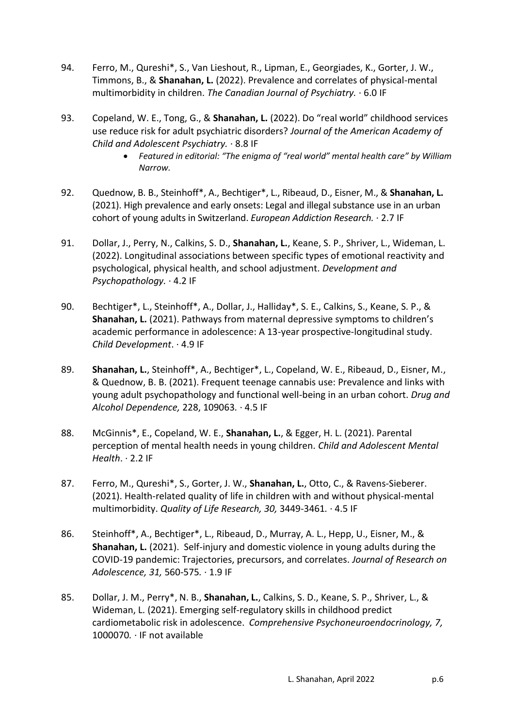- 94. Ferro, M., Qureshi\*, S., Van Lieshout, R., Lipman, E., Georgiades, K., Gorter, J. W., Timmons, B., & **Shanahan, L.** (2022). Prevalence and correlates of physical-mental multimorbidity in children. *The Canadian Journal of Psychiatry.* · 6.0 IF
- 93. Copeland, W. E., Tong, G., & **Shanahan, L.** (2022). Do "real world" childhood services use reduce risk for adult psychiatric disorders? *Journal of the American Academy of Child and Adolescent Psychiatry.* · 8.8 IF
	- *Featured in editorial: "The enigma of "real world" mental health care" by William Narrow.*
- 92. Quednow, B. B., Steinhoff\*, A., Bechtiger\*, L., Ribeaud, D., Eisner, M., & **Shanahan, L.** (2021). High prevalence and early onsets: Legal and illegal substance use in an urban cohort of young adults in Switzerland. *European Addiction Research.* · 2.7 IF
- 91. Dollar, J., Perry, N., Calkins, S. D., **Shanahan, L.**, Keane, S. P., Shriver, L., Wideman, L. (2022). Longitudinal associations between specific types of emotional reactivity and psychological, physical health, and school adjustment. *Development and Psychopathology.* · 4.2 IF
- 90. Bechtiger\*, L., Steinhoff\*, A., Dollar, J., Halliday\*, S. E., Calkins, S., Keane, S. P., & **Shanahan, L.** (2021). Pathways from maternal depressive symptoms to children's academic performance in adolescence: A 13-year prospective-longitudinal study. *Child Development*. · 4.9 IF
- 89. **Shanahan, L.**, Steinhoff\*, A., Bechtiger\*, L., Copeland, W. E., Ribeaud, D., Eisner, M., & Quednow, B. B. (2021). Frequent teenage cannabis use: Prevalence and links with young adult psychopathology and functional well-being in an urban cohort. *Drug and Alcohol Dependence,* 228, 109063*.* · 4.5 IF
- 88. McGinnis\*, E., Copeland, W. E., **Shanahan, L.**, & Egger, H. L. (2021). Parental perception of mental health needs in young children. *Child and Adolescent Mental Health*. · 2.2 IF
- 87. Ferro, M., Qureshi\*, S., Gorter, J. W., **Shanahan, L.**, Otto, C., & Ravens-Sieberer. (2021). Health-related quality of life in children with and without physical-mental multimorbidity. *Quality of Life Research, 30,* 3449-3461*.* · 4.5 IF
- 86. Steinhoff\*, A., Bechtiger\*, L., Ribeaud, D., Murray, A. L., Hepp, U., Eisner, M., & **Shanahan, L.** (2021). Self-injury and domestic violence in young adults during the COVID-19 pandemic: Trajectories, precursors, and correlates. *Journal of Research on Adolescence, 31,* 560-575*.* · 1.9 IF
- 85. Dollar, J. M., Perry\*, N. B., **Shanahan, L.**, Calkins, S. D., Keane, S. P., Shriver, L., & Wideman, L. (2021). Emerging self-regulatory skills in childhood predict cardiometabolic risk in adolescence. *Comprehensive Psychoneuroendocrinology, 7,*  1000070*.* · IF not available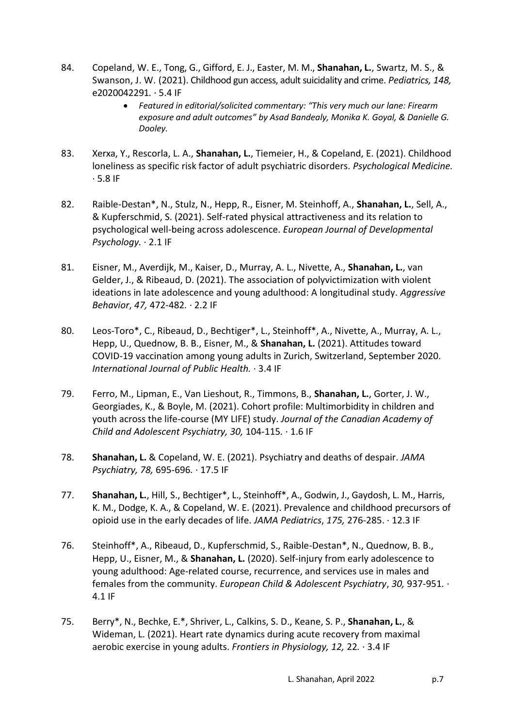- 84. Copeland, W. E., Tong, G., Gifford, E. J., Easter, M. M., **Shanahan, L.**, Swartz, M. S., & Swanson, J. W. (2021). Childhood gun access, adult suicidality and crime. *Pediatrics, 148,*  e2020042291*.* · 5.4 IF
	- *Featured in editorial/solicited commentary: "This very much our lane: Firearm exposure and adult outcomes" by Asad Bandealy, Monika K. Goyal, & Danielle G. Dooley.*
- 83. Xerxa, Y., Rescorla, L. A., **Shanahan, L.**, Tiemeier, H., & Copeland, E. (2021). Childhood loneliness as specific risk factor of adult psychiatric disorders. *Psychological Medicine.*  · 5.8 IF
- 82. Raible-Destan\*, N., Stulz, N., Hepp, R., Eisner, M. Steinhoff, A., **Shanahan, L.**, Sell, A., & Kupferschmid, S. (2021). Self-rated physical attractiveness and its relation to psychological well-being across adolescence. *European Journal of Developmental Psychology.* · 2.1 IF
- 81. Eisner, M., Averdijk, M., Kaiser, D., Murray, A. L., Nivette, A., **Shanahan, L.**, van Gelder, J., & Ribeaud, D. (2021). The association of polyvictimization with violent ideations in late adolescence and young adulthood: A longitudinal study. *Aggressive Behavior*, *47,* 472-482*.* · 2.2 IF
- 80. Leos-Toro\*, C., Ribeaud, D., Bechtiger\*, L., Steinhoff\*, A., Nivette, A., Murray, A. L., Hepp, U., Quednow, B. B., Eisner, M., & **Shanahan, L.** (2021). Attitudes toward COVID-19 vaccination among young adults in Zurich, Switzerland, September 2020. *International Journal of Public Health.* · 3.4 IF
- 79. Ferro, M., Lipman, E., Van Lieshout, R., Timmons, B., **Shanahan, L.**, Gorter, J. W., Georgiades, K., & Boyle, M. (2021). Cohort profile: Multimorbidity in children and youth across the life-course (MY LIFE) study. *Journal of the Canadian Academy of Child and Adolescent Psychiatry, 30,* 104-115*.* · 1.6 IF
- 78. **Shanahan, L.** & Copeland, W. E. (2021). Psychiatry and deaths of despair. *JAMA Psychiatry, 78,* 695-696*.* · 17.5 IF
- 77. **Shanahan, L.**, Hill, S., Bechtiger\*, L., Steinhoff\*, A., Godwin, J., Gaydosh, L. M., Harris, K. M., Dodge, K. A., & Copeland, W. E. (2021). Prevalence and childhood precursors of opioid use in the early decades of life. *JAMA Pediatrics*, *175,* 276-285. · 12.3 IF
- 76. Steinhoff\*, A., Ribeaud, D., Kupferschmid, S., Raible-Destan\*, N., Quednow, B. B., Hepp, U., Eisner, M., & **Shanahan, L.** (2020). Self-injury from early adolescence to young adulthood: Age-related course, recurrence, and services use in males and females from the community. *European Child & Adolescent Psychiatry*, *30,* 937-951*.* · 4.1 IF
- 75. Berry\*, N., Bechke, E.\*, Shriver, L., Calkins, S. D., Keane, S. P., **Shanahan, L.**, & Wideman, L. (2021). Heart rate dynamics during acute recovery from maximal aerobic exercise in young adults. *Frontiers in Physiology, 12,* 22*.* · 3.4 IF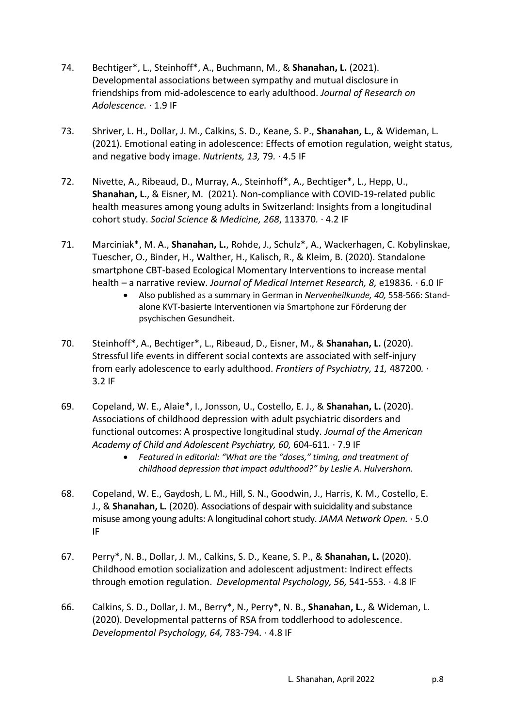- 74. Bechtiger\*, L., Steinhoff\*, A., Buchmann, M., & **Shanahan, L.** (2021). Developmental associations between sympathy and mutual disclosure in friendships from mid-adolescence to early adulthood. *Journal of Research on Adolescence.* · 1.9 IF
- 73. Shriver, L. H., Dollar, J. M., Calkins, S. D., Keane, S. P., **Shanahan, L.**, & Wideman, L. (2021). Emotional eating in adolescence: Effects of emotion regulation, weight status, and negative body image. *Nutrients, 13,* 79*.* · 4.5 IF
- 72. Nivette, A., Ribeaud, D., Murray, A., Steinhoff\*, A., Bechtiger\*, L., Hepp, U., **Shanahan, L.**, & Eisner, M. (2021). Non-compliance with COVID-19-related public health measures among young adults in Switzerland: Insights from a longitudinal cohort study. *Social Science & Medicine, 268*, 113370*.* · 4.2 IF
- 71. Marciniak\*, M. A., **Shanahan, L.**, Rohde, J., Schulz\*, A., Wackerhagen, C. Kobylinskae, Tuescher, O., Binder, H., Walther, H., Kalisch, R., & Kleim, B. (2020). Standalone smartphone CBT-based Ecological Momentary Interventions to increase mental health – a narrative review. *Journal of Medical Internet Research, 8,* e19836*.* · 6.0 IF
	- Also published as a summary in German in *Nervenheilkunde, 40,* 558-566: Standalone KVT-basierte Interventionen via Smartphone zur Förderung der psychischen Gesundheit.
- 70. Steinhoff\*, A., Bechtiger\*, L., Ribeaud, D., Eisner, M., & **Shanahan, L.** (2020). Stressful life events in different social contexts are associated with self-injury from early adolescence to early adulthood. *Frontiers of Psychiatry, 11,* 487200*.* · 3.2 IF
- 69. Copeland, W. E., Alaie\*, I., Jonsson, U., Costello, E. J., & **Shanahan, L.** (2020). Associations of childhood depression with adult psychiatric disorders and functional outcomes: A prospective longitudinal study. *Journal of the American Academy of Child and Adolescent Psychiatry, 60,* 604-611*.* · 7.9 IF
	- *Featured in editorial: "What are the "doses," timing, and treatment of childhood depression that impact adulthood?" by Leslie A. Hulvershorn.*
- 68. Copeland, W. E., Gaydosh, L. M., Hill, S. N., Goodwin, J., Harris, K. M., Costello, E. J., & **Shanahan, L.** (2020). Associations of despair with suicidality and substance misuse among young adults: A longitudinal cohort study. *JAMA Network Open.* · 5.0 IF
- 67. Perry\*, N. B., Dollar, J. M., Calkins, S. D., Keane, S. P., & **Shanahan, L.** (2020). Childhood emotion socialization and adolescent adjustment: Indirect effects through emotion regulation. *Developmental Psychology, 56,* 541-553*.* · 4.8 IF
- 66. Calkins, S. D., Dollar, J. M., Berry\*, N., Perry\*, N. B., **Shanahan, L.**, & Wideman, L. (2020). Developmental patterns of RSA from toddlerhood to adolescence. *Developmental Psychology, 64,* 783-794*.* · 4.8 IF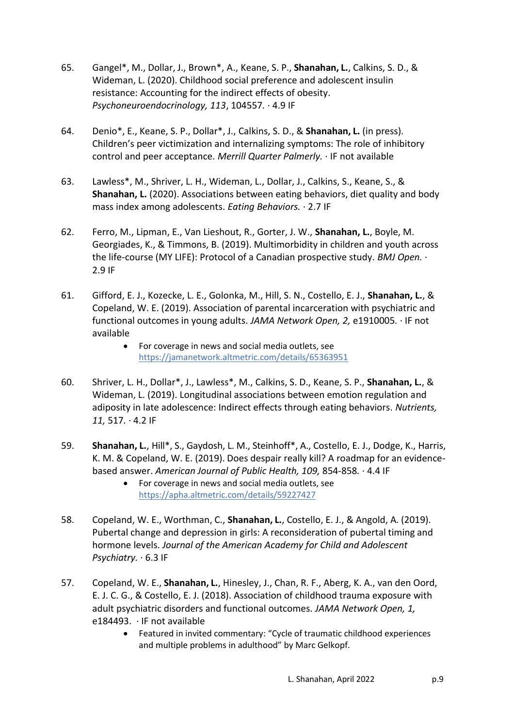- 65. Gangel\*, M., Dollar, J., Brown\*, A., Keane, S. P., **Shanahan, L.**, Calkins, S. D., & Wideman, L. (2020). Childhood social preference and adolescent insulin resistance: Accounting for the indirect effects of obesity. *Psychoneuroendocrinology, 113*, 104557*.* · 4.9 IF
- 64. Denio\*, E., Keane, S. P., Dollar\*, J., Calkins, S. D., & **Shanahan, L.** (in press). Children's peer victimization and internalizing symptoms: The role of inhibitory control and peer acceptance. *Merrill Quarter Palmerly.* · IF not available
- 63. Lawless\*, M., Shriver, L. H., Wideman, L., Dollar, J., Calkins, S., Keane, S., & **Shanahan, L.** (2020). Associations between eating behaviors, diet quality and body mass index among adolescents. *Eating Behaviors.* · 2.7 IF
- 62. Ferro, M., Lipman, E., Van Lieshout, R., Gorter, J. W., **Shanahan, L.**, Boyle, M. Georgiades, K., & Timmons, B. (2019). Multimorbidity in children and youth across the life-course (MY LIFE): Protocol of a Canadian prospective study. *BMJ Open.* · 2.9 IF
- 61. Gifford, E. J., Kozecke, L. E., Golonka, M., Hill, S. N., Costello, E. J., **Shanahan, L.**, & Copeland, W. E. (2019). Association of parental incarceration with psychiatric and functional outcomes in young adults. *JAMA Network Open, 2,* e1910005*.* · IF not available
	- For coverage in news and social media outlets, see <https://jamanetwork.altmetric.com/details/65363951>
- 60. Shriver, L. H., Dollar\*, J., Lawless\*, M., Calkins, S. D., Keane, S. P., **Shanahan, L.**, & Wideman, L. (2019). Longitudinal associations between emotion regulation and adiposity in late adolescence: Indirect effects through eating behaviors. *Nutrients, 11,* 517*.* · 4.2 IF
- 59. **Shanahan, L.**, Hill\*, S., Gaydosh, L. M., Steinhoff\*, A., Costello, E. J., Dodge, K., Harris, K. M. & Copeland, W. E. (2019). Does despair really kill? A roadmap for an evidencebased answer. *American Journal of Public Health, 109,* 854-858*.* · 4.4 IF
	- For coverage in news and social media outlets, see <https://apha.altmetric.com/details/59227427>
- 58. Copeland, W. E., Worthman, C., **Shanahan, L.**, Costello, E. J., & Angold, A. (2019). Pubertal change and depression in girls: A reconsideration of pubertal timing and hormone levels. *Journal of the American Academy for Child and Adolescent Psychiatry.* · 6.3 IF
- 57. Copeland, W. E., **Shanahan, L.**, Hinesley, J., Chan, R. F., Aberg, K. A., van den Oord, E. J. C. G., & Costello, E. J. (2018). Association of childhood trauma exposure with adult psychiatric disorders and functional outcomes. *JAMA Network Open, 1,*  e184493.· IF not available
	- Featured in invited commentary: "Cycle of traumatic childhood experiences and multiple problems in adulthood" by Marc Gelkopf.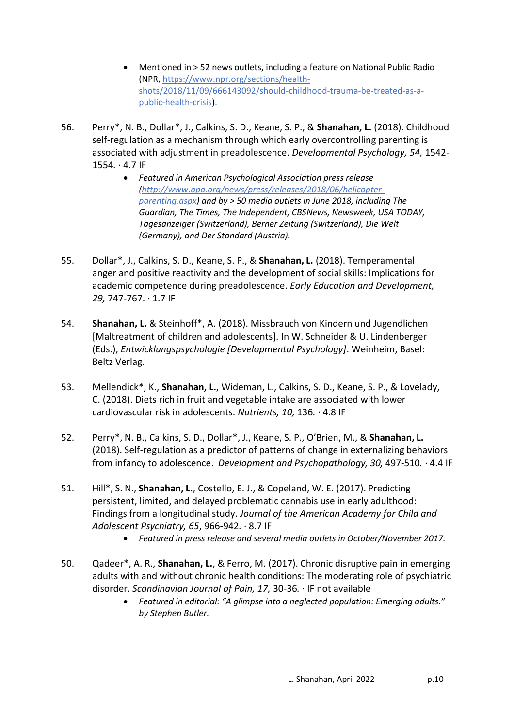- Mentioned in > 52 news outlets, including a feature on National Public Radio (NPR, [https://www.npr.org/sections/health](https://www.npr.org/sections/health-shots/2018/11/09/666143092/should-childhood-trauma-be-treated-as-a-public-health-crisis)[shots/2018/11/09/666143092/should-childhood-trauma-be-treated-as-a](https://www.npr.org/sections/health-shots/2018/11/09/666143092/should-childhood-trauma-be-treated-as-a-public-health-crisis)[public-health-crisis\)](https://www.npr.org/sections/health-shots/2018/11/09/666143092/should-childhood-trauma-be-treated-as-a-public-health-crisis).
- 56. Perry\*, N. B., Dollar\*, J., Calkins, S. D., Keane, S. P., & **Shanahan, L.** (2018). Childhood self-regulation as a mechanism through which early overcontrolling parenting is associated with adjustment in preadolescence. *Developmental Psychology, 54,* 1542- 1554*.* · 4.7 IF
	- *Featured in American Psychological Association press release [\(http://www.apa.org/news/press/releases/2018/06/helicopter](http://www.apa.org/news/press/releases/2018/06/helicopter-parenting.aspx)[parenting.aspx\)](http://www.apa.org/news/press/releases/2018/06/helicopter-parenting.aspx) and by > 50 media outlets in June 2018, including The Guardian, The Times, The Independent, CBSNews, Newsweek, USA TODAY, Tagesanzeiger (Switzerland), Berner Zeitung (Switzerland), Die Welt (Germany), and Der Standard (Austria).*
- 55. Dollar\*, J., Calkins, S. D., Keane, S. P., & **Shanahan, L.** (2018). Temperamental anger and positive reactivity and the development of social skills: Implications for academic competence during preadolescence. *Early Education and Development, 29,* 747-767. · 1.7 IF
- 54. **Shanahan, L.** & Steinhoff\*, A. (2018). Missbrauch von Kindern und Jugendlichen [Maltreatment of children and adolescents]. In W. Schneider & U. Lindenberger (Eds.), *Entwicklungspsychologie [Developmental Psychology]*. Weinheim, Basel: Beltz Verlag.
- 53. Mellendick\*, K., **Shanahan, L.**, Wideman, L., Calkins, S. D., Keane, S. P., & Lovelady, C. (2018). Diets rich in fruit and vegetable intake are associated with lower cardiovascular risk in adolescents. *Nutrients, 10,* 136*.* · 4.8 IF
- 52. Perry\*, N. B., Calkins, S. D., Dollar\*, J., Keane, S. P., O'Brien, M., & **Shanahan, L.** (2018). Self-regulation as a predictor of patterns of change in externalizing behaviors from infancy to adolescence. *Development and Psychopathology, 30,* 497-510*.* · 4.4 IF
- 51. Hill\*, S. N., **Shanahan, L.**, Costello, E. J., & Copeland, W. E. (2017). Predicting persistent, limited, and delayed problematic cannabis use in early adulthood: Findings from a longitudinal study. *Journal of the American Academy for Child and Adolescent Psychiatry, 65*, 966-942*.* · 8.7 IF
	- *Featured in press release and several media outlets in October/November 2017.*
- 50. Qadeer\*, A. R., **Shanahan, L.**, & Ferro, M. (2017). Chronic disruptive pain in emerging adults with and without chronic health conditions: The moderating role of psychiatric disorder. *Scandinavian Journal of Pain, 17,* 30-36*.* · IF not available
	- *Featured in editorial: "A glimpse into a neglected population: Emerging adults." by Stephen Butler.*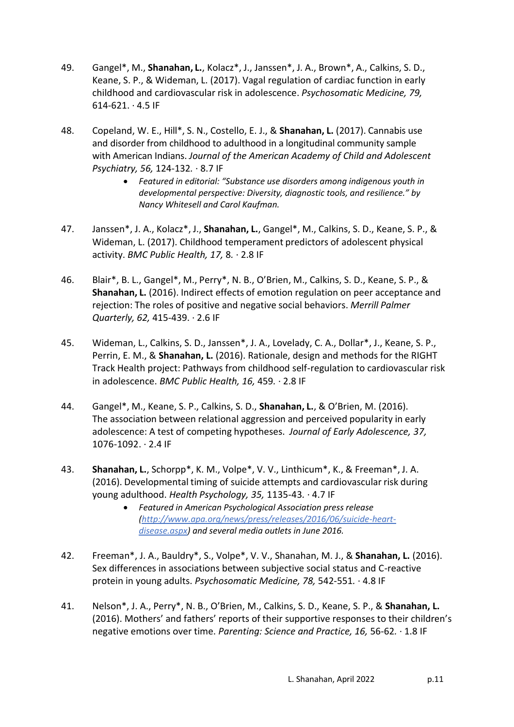- 49. Gangel\*, M., **Shanahan, L.**, Kolacz\*, J., Janssen\*, J. A., Brown\*, A., Calkins, S. D., Keane, S. P., & Wideman, L. (2017). Vagal regulation of cardiac function in early childhood and cardiovascular risk in adolescence. *Psychosomatic Medicine, 79,*  $614-621. \cdot 4.5$  IF
- 48. Copeland, W. E., Hill\*, S. N., Costello, E. J., & **Shanahan, L.** (2017). Cannabis use and disorder from childhood to adulthood in a longitudinal community sample with American Indians. *Journal of the American Academy of Child and Adolescent Psychiatry, 56,* 124-132*.* · 8.7 IF
	- **•** Featured in editorial: "Substance use disorders among indigenous youth in *developmental perspective: Diversity, diagnostic tools, and resilience." by Nancy Whitesell and Carol Kaufman.*
- 47. Janssen\*, J. A., Kolacz\*, J., **Shanahan, L.**, Gangel\*, M., Calkins, S. D., Keane, S. P., & Wideman, L. (2017). Childhood temperament predictors of adolescent physical activity. *BMC Public Health, 17,* 8*.* · 2.8 IF
- 46. Blair\*, B. L., Gangel\*, M., Perry\*, N. B., O'Brien, M., Calkins, S. D., Keane, S. P., & **Shanahan, L.** (2016). Indirect effects of emotion regulation on peer acceptance and rejection: The roles of positive and negative social behaviors. *Merrill Palmer Quarterly, 62,* 415-439. · 2.6 IF
- 45. Wideman, L., Calkins, S. D., Janssen\*, J. A., Lovelady, C. A., Dollar\*, J., Keane, S. P., Perrin, E. M., & **Shanahan, L.** (2016). Rationale, design and methods for the RIGHT Track Health project: Pathways from childhood self-regulation to cardiovascular risk in adolescence. *BMC Public Health, 16,* 459*.* · 2.8 IF
- 44. Gangel\*, M., Keane, S. P., Calkins, S. D., **Shanahan, L.**, & O'Brien, M. (2016). The association between relational aggression and perceived popularity in early adolescence: A test of competing hypotheses. *Journal of Early Adolescence, 37,* 1076-1092. · 2.4 IF
- 43. **Shanahan, L.**, Schorpp\*, K. M., Volpe\*, V. V., Linthicum\*, K., & Freeman\*, J. A. (2016). Developmental timing of suicide attempts and cardiovascular risk during young adulthood. *Health Psychology, 35,* 1135-43*.* · 4.7 IF
	- *Featured in American Psychological Association press release [\(http://www.apa.org/news/press/releases/2016/06/suicide-heart](http://www.apa.org/news/press/releases/2016/06/suicide-heart-disease.aspx)[disease.aspx\)](http://www.apa.org/news/press/releases/2016/06/suicide-heart-disease.aspx) and several media outlets in June 2016.*
- 42. Freeman\*, J. A., Bauldry\*, S., Volpe\*, V. V., Shanahan, M. J., & **Shanahan, L.** (2016). Sex differences in associations between subjective social status and C-reactive protein in young adults. *Psychosomatic Medicine, 78,* 542-551*.* · 4.8 IF
- 41. Nelson\*, J. A., Perry\*, N. B., O'Brien, M., Calkins, S. D., Keane, S. P., & **Shanahan, L.** (2016). Mothers' and fathers' reports of their supportive responses to their children's negative emotions over time. *Parenting: Science and Practice, 16,* 56-62*.* · 1.8 IF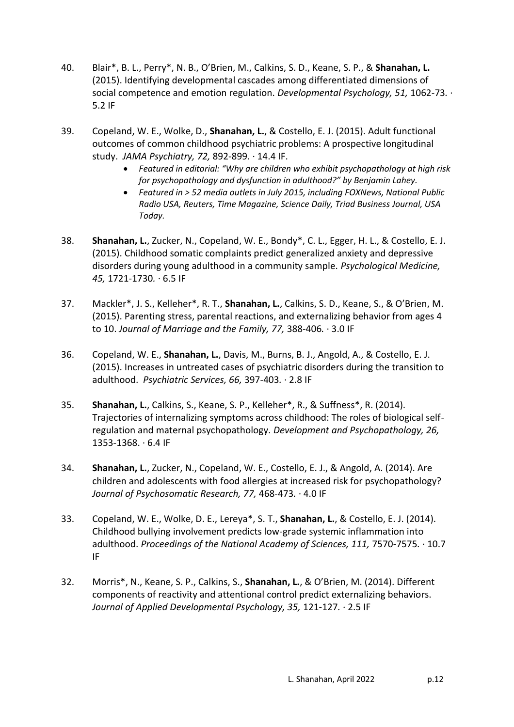- 40. Blair\*, B. L., Perry\*, N. B., O'Brien, M., Calkins, S. D., Keane, S. P., & **Shanahan, L.** (2015). Identifying developmental cascades among differentiated dimensions of social competence and emotion regulation. *Developmental Psychology, 51,* 1062-73*.* · 5.2 IF
- 39. Copeland, W. E., Wolke, D., **Shanahan, L.**, & Costello, E. J. (2015). Adult functional outcomes of common childhood psychiatric problems: A prospective longitudinal study. *JAMA Psychiatry, 72,* 892-899*.* · 14.4 IF.
	- *Featured in editorial: "Why are children who exhibit psychopathology at high risk for psychopathology and dysfunction in adulthood?" by Benjamin Lahey.*
	- *Featured in > 52 media outlets in July 2015, including FOXNews, National Public Radio USA, Reuters, Time Magazine, Science Daily, Triad Business Journal, USA Today.*
- 38. **Shanahan, L.**, Zucker, N., Copeland, W. E., Bondy\*, C. L., Egger, H. L., & Costello, E. J. (2015). Childhood somatic complaints predict generalized anxiety and depressive disorders during young adulthood in a community sample. *Psychological Medicine, 45,* 1721-1730*.* · 6.5 IF
- 37. Mackler\*, J. S., Kelleher\*, R. T., **Shanahan, L.**, Calkins, S. D., Keane, S., & O'Brien, M. (2015). Parenting stress, parental reactions, and externalizing behavior from ages 4 to 10. *Journal of Marriage and the Family, 77,* 388-406*.* · 3.0 IF
- 36. Copeland, W. E., **Shanahan, L.**, Davis, M., Burns, B. J., Angold, A., & Costello, E. J. (2015). Increases in untreated cases of psychiatric disorders during the transition to adulthood. *Psychiatric Services, 66,* 397-403*.* · 2.8 IF
- 35. **Shanahan, L.**, Calkins, S., Keane, S. P., Kelleher\*, R., & Suffness\*, R. (2014). Trajectories of internalizing symptoms across childhood: The roles of biological selfregulation and maternal psychopathology. *Development and Psychopathology, 26,*  1353-1368. · 6.4 IF
- 34. **Shanahan, L.**, Zucker, N., Copeland, W. E., Costello, E. J., & Angold, A. (2014). Are children and adolescents with food allergies at increased risk for psychopathology? *Journal of Psychosomatic Research, 77,* 468-473*.* · 4.0 IF
- 33. Copeland, W. E., Wolke, D. E., Lereya\*, S. T., **Shanahan, L.**, & Costello, E. J. (2014). Childhood bullying involvement predicts low-grade systemic inflammation into adulthood. *Proceedings of the National Academy of Sciences, 111,* 7570-7575*.* · 10.7 IF
- 32. Morris\*, N., Keane, S. P., Calkins, S., **Shanahan, L.**, & O'Brien, M. (2014). Different components of reactivity and attentional control predict externalizing behaviors. *Journal of Applied Developmental Psychology, 35,* 121-127*.* · 2.5 IF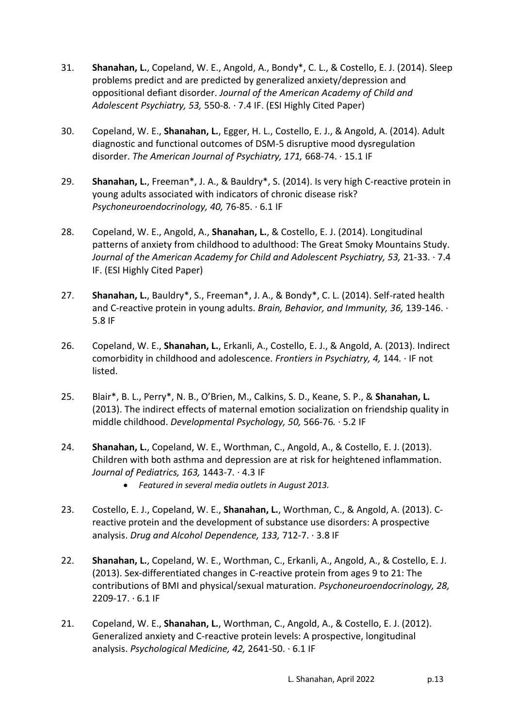- 31. **Shanahan, L.**, Copeland, W. E., Angold, A., Bondy\*, C. L., & Costello, E. J. (2014). Sleep problems predict and are predicted by generalized anxiety/depression and oppositional defiant disorder. *Journal of the American Academy of Child and Adolescent Psychiatry, 53,* 550-8*.* · 7.4 IF. (ESI Highly Cited Paper)
- 30. Copeland, W. E., **Shanahan, L.**, Egger, H. L., Costello, E. J., & Angold, A. (2014). Adult diagnostic and functional outcomes of DSM-5 disruptive mood dysregulation disorder. *The American Journal of Psychiatry, 171,* 668-74. · 15.1 IF
- 29. **Shanahan, L.**, Freeman\*, J. A., & Bauldry\*, S. (2014). Is very high C-reactive protein in young adults associated with indicators of chronic disease risk? *Psychoneuroendocrinology, 40,* 76-85. · 6.1 IF
- 28. Copeland, W. E., Angold, A., **Shanahan, L.**, & Costello, E. J. (2014). Longitudinal patterns of anxiety from childhood to adulthood: The Great Smoky Mountains Study. *Journal of the American Academy for Child and Adolescent Psychiatry, 53,* 21-33. · 7.4 IF. (ESI Highly Cited Paper)
- 27. **Shanahan, L.**, Bauldry\*, S., Freeman\*, J. A., & Bondy\*, C. L. (2014). Self-rated health and C-reactive protein in young adults. *Brain, Behavior, and Immunity, 36,* 139-146. · 5.8 IF
- 26. Copeland, W. E., **Shanahan, L.**, Erkanli, A., Costello, E. J., & Angold, A. (2013). Indirect comorbidity in childhood and adolescence. *Frontiers in Psychiatry, 4,* 144*.* · IF not listed.
- 25. Blair\*, B. L., Perry\*, N. B., O'Brien, M., Calkins, S. D., Keane, S. P., & **Shanahan, L.** (2013). The indirect effects of maternal emotion socialization on friendship quality in middle childhood. *Developmental Psychology, 50,* 566-76*.* · 5.2 IF
- 24. **Shanahan, L.**, Copeland, W. E., Worthman, C., Angold, A., & Costello, E. J. (2013). Children with both asthma and depression are at risk for heightened inflammation. *Journal of Pediatrics, 163,* 1443-7*.* · 4.3 IF
	- *Featured in several media outlets in August 2013.*
- 23. Costello, E. J., Copeland, W. E., **Shanahan, L.**, Worthman, C., & Angold, A. (2013). Creactive protein and the development of substance use disorders: A prospective analysis. *Drug and Alcohol Dependence, 133,* 712-7. · 3.8 IF
- 22. **Shanahan, L.**, Copeland, W. E., Worthman, C., Erkanli, A., Angold, A., & Costello, E. J. (2013). Sex-differentiated changes in C-reactive protein from ages 9 to 21: The contributions of BMI and physical/sexual maturation. *Psychoneuroendocrinology, 28,* 2209-17. · 6.1 IF
- 21. Copeland, W. E., **Shanahan, L.**, Worthman, C., Angold, A., & Costello, E. J. (2012). Generalized anxiety and C-reactive protein levels: A prospective, longitudinal analysis. *Psychological Medicine, 42,* 2641-50. · 6.1 IF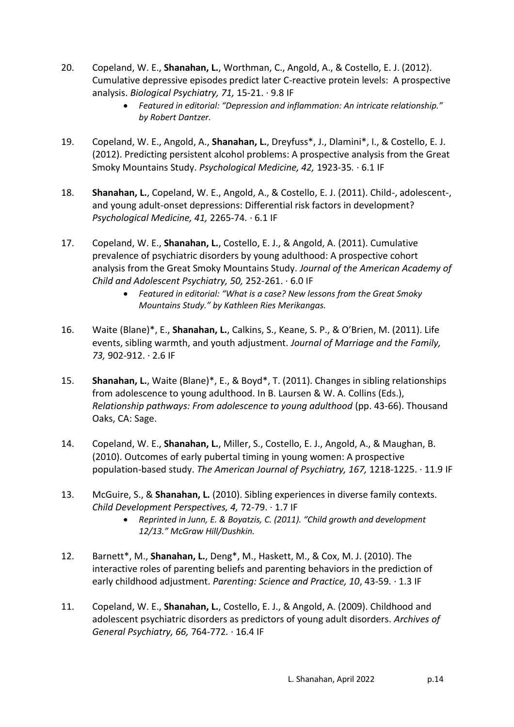- 20. Copeland, W. E., **Shanahan, L.**, Worthman, C., Angold, A., & Costello, E. J. (2012). Cumulative depressive episodes predict later C-reactive protein levels: A prospective analysis. *Biological Psychiatry, 71,* 15-21. · 9.8 IF
	- *Featured in editorial: "Depression and inflammation: An intricate relationship." by Robert Dantzer.*
- 19. Copeland, W. E., Angold, A., **Shanahan, L.**, Dreyfuss\*, J., Dlamini\*, I., & Costello, E. J. (2012). Predicting persistent alcohol problems: A prospective analysis from the Great Smoky Mountains Study. *Psychological Medicine, 42,* 1923-35*.* · 6.1 IF
- 18. **Shanahan, L.**, Copeland, W. E., Angold, A., & Costello, E. J. (2011). Child-, adolescent-, and young adult-onset depressions: Differential risk factors in development? *Psychological Medicine, 41,* 2265-74*.* · 6.1 IF
- 17. Copeland, W. E., **Shanahan, L.**, Costello, E. J., & Angold, A. (2011). Cumulative prevalence of psychiatric disorders by young adulthood: A prospective cohort analysis from the Great Smoky Mountains Study. *Journal of the American Academy of Child and Adolescent Psychiatry, 50,* 252-261. · 6.0 IF
	- *Featured in editorial: "What is a case? New lessons from the Great Smoky Mountains Study." by Kathleen Ries Merikangas.*
- 16. Waite (Blane)\*, E., **Shanahan, L.**, Calkins, S., Keane, S. P., & O'Brien, M. (2011). Life events, sibling warmth, and youth adjustment. *Journal of Marriage and the Family, 73,* 902-912. · 2.6 IF
- 15. **Shanahan, L.**, Waite (Blane)\*, E., & Boyd\*, T. (2011). Changes in sibling relationships from adolescence to young adulthood. In B. Laursen & W. A. Collins (Eds.), *Relationship pathways: From adolescence to young adulthood* (pp. 43-66). Thousand Oaks, CA: Sage.
- 14. Copeland, W. E., **Shanahan, L.**, Miller, S., Costello, E. J., Angold, A., & Maughan, B. (2010). Outcomes of early pubertal timing in young women: A prospective population-based study. *The American Journal of Psychiatry, 167,* 1218-1225. · 11.9 IF
- 13. McGuire, S., & **Shanahan, L.** (2010). Sibling experiences in diverse family contexts. *Child Development Perspectives, 4,* 72-79. · 1.7 IF
	- *Reprinted in Junn, E. & Boyatzis, C. (2011). "Child growth and development 12/13." McGraw Hill/Dushkin.*
- 12. Barnett\*, M., **Shanahan, L.**, Deng\*, M., Haskett, M., & Cox, M. J. (2010). The interactive roles of parenting beliefs and parenting behaviors in the prediction of early childhood adjustment. *Parenting: Science and Practice, 10*, 43-59*.* · 1.3 IF
- 11. Copeland, W. E., **Shanahan, L.**, Costello, E. J., & Angold, A. (2009). Childhood and adolescent psychiatric disorders as predictors of young adult disorders. *Archives of General Psychiatry, 66,* 764-772*.* · 16.4 IF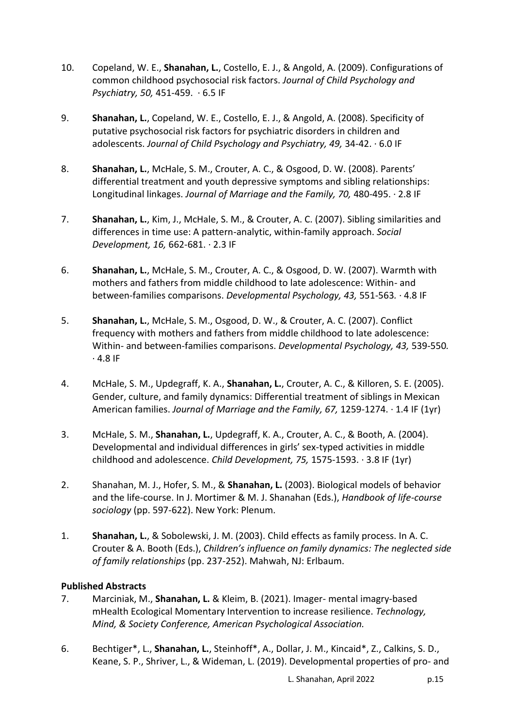- 10. Copeland, W. E., **Shanahan, L.**, Costello, E. J., & Angold, A. (2009). Configurations of common childhood psychosocial risk factors. *Journal of Child Psychology and Psychiatry, 50,* 451-459. · 6.5 IF
- 9. **Shanahan, L.**, Copeland, W. E., Costello, E. J., & Angold, A. (2008). Specificity of putative psychosocial risk factors for psychiatric disorders in children and adolescents. *Journal of Child Psychology and Psychiatry, 49,* 34-42. · 6.0 IF
- 8. **Shanahan, L.**, McHale, S. M., Crouter, A. C., & Osgood, D. W. (2008). Parents' differential treatment and youth depressive symptoms and sibling relationships: Longitudinal linkages. *Journal of Marriage and the Family, 70,* 480-495. · 2.8 IF
- 7. **Shanahan, L.**, Kim, J., McHale, S. M., & Crouter, A. C. (2007). Sibling similarities and differences in time use: A pattern-analytic, within-family approach. *Social Development, 16,* 662-681. · 2.3 IF
- 6. **Shanahan, L.**, McHale, S. M., Crouter, A. C., & Osgood, D. W. (2007). Warmth with mothers and fathers from middle childhood to late adolescence: Within- and between-families comparisons. *Developmental Psychology, 43,* 551-563*.* · 4.8 IF
- 5. **Shanahan, L.**, McHale, S. M., Osgood, D. W., & Crouter, A. C. (2007). Conflict frequency with mothers and fathers from middle childhood to late adolescence: Within- and between-families comparisons. *Developmental Psychology, 43,* 539-550*.*  · 4.8 IF
- 4. McHale, S. M., Updegraff, K. A., **Shanahan, L.**, Crouter, A. C., & Killoren, S. E. (2005). Gender, culture, and family dynamics: Differential treatment of siblings in Mexican American families. *Journal of Marriage and the Family, 67,* 1259-1274. · 1.4 IF (1yr)
- 3. McHale, S. M., **Shanahan, L.**, Updegraff, K. A., Crouter, A. C., & Booth, A. (2004). Developmental and individual differences in girls' sex-typed activities in middle childhood and adolescence. *Child Development, 75,* 1575-1593. · 3.8 IF (1yr)
- 2. Shanahan, M. J., Hofer, S. M., & **Shanahan, L.** (2003). Biological models of behavior and the life-course. In J. Mortimer & M. J. Shanahan (Eds.), *Handbook of life-course sociology* (pp. 597-622). New York: Plenum.
- 1. **Shanahan, L.**, & Sobolewski, J. M. (2003). Child effects as family process. In A. C. Crouter & A. Booth (Eds.), *Children's influence on family dynamics: The neglected side of family relationships* (pp. 237-252). Mahwah, NJ: Erlbaum.

## **Published Abstracts**

- 7. Marciniak, M., **Shanahan, L.** & Kleim, B. (2021). Imager- mental imagry-based mHealth Ecological Momentary Intervention to increase resilience. *Technology, Mind, & Society Conference, American Psychological Association.*
- 6. Bechtiger\*, L., **Shanahan, L.**, Steinhoff\*, A., Dollar, J. M., Kincaid\*, Z., Calkins, S. D., Keane, S. P., Shriver, L., & Wideman, L. (2019). Developmental properties of pro- and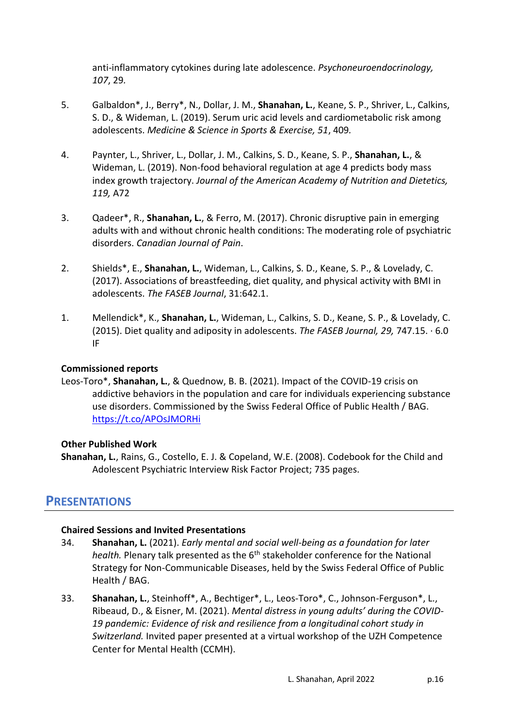anti-inflammatory cytokines during late adolescence. *Psychoneuroendocrinology, 107*, 29*.* 

- 5. Galbaldon\*, J., Berry\*, N., Dollar, J. M., **Shanahan, L.**, Keane, S. P., Shriver, L., Calkins, S. D., & Wideman, L. (2019). Serum uric acid levels and cardiometabolic risk among adolescents. *Medicine & Science in Sports & Exercise, 51*, 409*.*
- 4. Paynter, L., Shriver, L., Dollar, J. M., Calkins, S. D., Keane, S. P., **Shanahan, L.**, & Wideman, L. (2019). Non-food behavioral regulation at age 4 predicts body mass index growth trajectory. *Journal of the American Academy of Nutrition and Dietetics, 119,* A72
- 3. Qadeer\*, R., **Shanahan, L.**, & Ferro, M. (2017). Chronic disruptive pain in emerging adults with and without chronic health conditions: The moderating role of psychiatric disorders. *Canadian Journal of Pain*.
- 2. Shields\*, E., **Shanahan, L.**, Wideman, L., Calkins, S. D., Keane, S. P., & Lovelady, C. (2017). Associations of breastfeeding, diet quality, and physical activity with BMI in adolescents. *The FASEB Journal*, 31:642.1.
- 1. Mellendick\*, K., **Shanahan, L.**, Wideman, L., Calkins, S. D., Keane, S. P., & Lovelady, C. (2015). Diet quality and adiposity in adolescents. *The FASEB Journal, 29,* 747.15. · 6.0 IF

#### **Commissioned reports**

Leos-Toro\*, **Shanahan, L.**, & Quednow, B. B. (2021). Impact of the COVID-19 crisis on addictive behaviors in the population and care for individuals experiencing substance use disorders. Commissioned by the Swiss Federal Office of Public Health / BAG. <https://t.co/APOsJMORHi>

#### **Other Published Work**

**Shanahan, L.**, Rains, G., Costello, E. J. & Copeland, W.E. (2008). Codebook for the Child and Adolescent Psychiatric Interview Risk Factor Project; 735 pages.

## **PRESENTATIONS**

### **Chaired Sessions and Invited Presentations**

- 34. **Shanahan, L.** (2021). *Early mental and social well-being as a foundation for later health.* Plenary talk presented as the 6<sup>th</sup> stakeholder conference for the National Strategy for Non-Communicable Diseases, held by the Swiss Federal Office of Public Health / BAG.
- 33. **Shanahan, L.**, Steinhoff\*, A., Bechtiger\*, L., Leos-Toro\*, C., Johnson-Ferguson\*, L., Ribeaud, D., & Eisner, M. (2021). *Mental distress in young adults' during the COVID-19 pandemic: Evidence of risk and resilience from a longitudinal cohort study in Switzerland.* Invited paper presented at a virtual workshop of the UZH Competence Center for Mental Health (CCMH).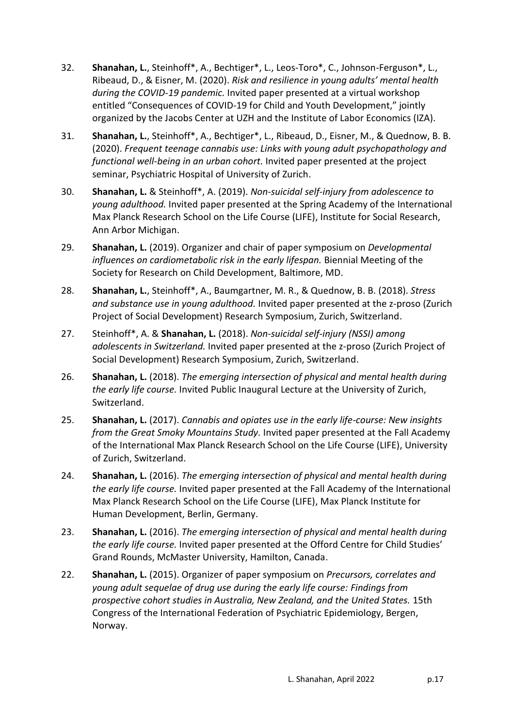- 32. **Shanahan, L.**, Steinhoff\*, A., Bechtiger\*, L., Leos-Toro\*, C., Johnson-Ferguson\*, L., Ribeaud, D., & Eisner, M. (2020). *Risk and resilience in young adults' mental health during the COVID-19 pandemic.* Invited paper presented at a virtual workshop entitled "Consequences of COVID-19 for Child and Youth Development," jointly organized by the Jacobs Center at UZH and the Institute of Labor Economics (IZA).
- 31. **Shanahan, L.**, Steinhoff\*, A., Bechtiger\*, L., Ribeaud, D., Eisner, M., & Quednow, B. B. (2020). *Frequent teenage cannabis use: Links with young adult psychopathology and functional well-being in an urban cohort.* Invited paper presented at the project seminar, Psychiatric Hospital of University of Zurich.
- 30. **Shanahan, L.** & Steinhoff\*, A. (2019). *Non-suicidal self-injury from adolescence to young adulthood.* Invited paper presented at the Spring Academy of the International Max Planck Research School on the Life Course (LIFE), Institute for Social Research, Ann Arbor Michigan.
- 29. **Shanahan, L.** (2019). Organizer and chair of paper symposium on *Developmental influences on cardiometabolic risk in the early lifespan.* Biennial Meeting of the Society for Research on Child Development, Baltimore, MD.
- 28. **Shanahan, L.**, Steinhoff\*, A., Baumgartner, M. R., & Quednow, B. B. (2018). *Stress and substance use in young adulthood.* Invited paper presented at the z-proso (Zurich Project of Social Development) Research Symposium, Zurich, Switzerland.
- 27. Steinhoff\*, A. & **Shanahan, L.** (2018). *Non-suicidal self-injury (NSSI) among adolescents in Switzerland.* Invited paper presented at the z-proso (Zurich Project of Social Development) Research Symposium, Zurich, Switzerland.
- 26. **Shanahan, L.** (2018). *The emerging intersection of physical and mental health during the early life course.* Invited Public Inaugural Lecture at the University of Zurich, Switzerland.
- 25. **Shanahan, L.** (2017). *Cannabis and opiates use in the early life-course: New insights from the Great Smoky Mountains Study.* Invited paper presented at the Fall Academy of the International Max Planck Research School on the Life Course (LIFE), University of Zurich, Switzerland.
- 24. **Shanahan, L.** (2016). *The emerging intersection of physical and mental health during the early life course.* Invited paper presented at the Fall Academy of the International Max Planck Research School on the Life Course (LIFE), Max Planck Institute for Human Development, Berlin, Germany.
- 23. **Shanahan, L.** (2016). *The emerging intersection of physical and mental health during the early life course.* Invited paper presented at the Offord Centre for Child Studies' Grand Rounds, McMaster University, Hamilton, Canada.
- 22. **Shanahan, L.** (2015). Organizer of paper symposium on *Precursors, correlates and young adult sequelae of drug use during the early life course: Findings from prospective cohort studies in Australia, New Zealand, and the United States.* 15th Congress of the International Federation of Psychiatric Epidemiology, Bergen, Norway.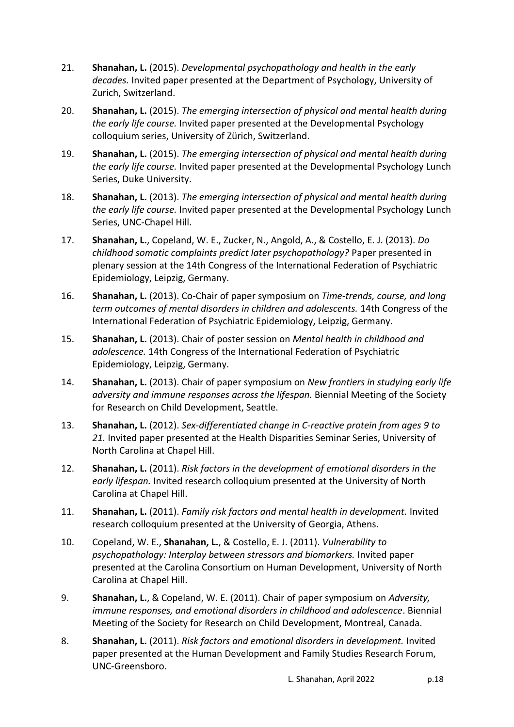- 21. **Shanahan, L.** (2015). *Developmental psychopathology and health in the early decades.* Invited paper presented at the Department of Psychology, University of Zurich, Switzerland.
- 20. **Shanahan, L.** (2015). *The emerging intersection of physical and mental health during the early life course.* Invited paper presented at the Developmental Psychology colloquium series, University of Zürich, Switzerland.
- 19. **Shanahan, L.** (2015). *The emerging intersection of physical and mental health during the early life course.* Invited paper presented at the Developmental Psychology Lunch Series, Duke University.
- 18. **Shanahan, L.** (2013). *The emerging intersection of physical and mental health during the early life course.* Invited paper presented at the Developmental Psychology Lunch Series, UNC-Chapel Hill.
- 17. **Shanahan, L.**, Copeland, W. E., Zucker, N., Angold, A., & Costello, E. J. (2013). *Do childhood somatic complaints predict later psychopathology?* Paper presented in plenary session at the 14th Congress of the International Federation of Psychiatric Epidemiology, Leipzig, Germany.
- 16. **Shanahan, L.** (2013). Co-Chair of paper symposium on *Time-trends, course, and long term outcomes of mental disorders in children and adolescents.* 14th Congress of the International Federation of Psychiatric Epidemiology, Leipzig, Germany.
- 15. **Shanahan, L.** (2013). Chair of poster session on *Mental health in childhood and adolescence.* 14th Congress of the International Federation of Psychiatric Epidemiology, Leipzig, Germany.
- 14. **Shanahan, L.** (2013). Chair of paper symposium on *New frontiers in studying early life adversity and immune responses across the lifespan.* Biennial Meeting of the Society for Research on Child Development, Seattle.
- 13. **Shanahan, L.** (2012). *Sex-differentiated change in C-reactive protein from ages 9 to 21.* Invited paper presented at the Health Disparities Seminar Series, University of North Carolina at Chapel Hill.
- 12. **Shanahan, L.** (2011). *Risk factors in the development of emotional disorders in the early lifespan.* Invited research colloquium presented at the University of North Carolina at Chapel Hill.
- 11. **Shanahan, L.** (2011). *Family risk factors and mental health in development.* Invited research colloquium presented at the University of Georgia, Athens.
- 10. Copeland, W. E., **Shanahan, L.**, & Costello, E. J. (2011). *Vulnerability to psychopathology: Interplay between stressors and biomarkers.* Invited paper presented at the Carolina Consortium on Human Development, University of North Carolina at Chapel Hill.
- 9. **Shanahan, L.**, & Copeland, W. E. (2011). Chair of paper symposium on *Adversity, immune responses, and emotional disorders in childhood and adolescence*. Biennial Meeting of the Society for Research on Child Development, Montreal, Canada.
- 8. **Shanahan, L.** (2011). *Risk factors and emotional disorders in development.* Invited paper presented at the Human Development and Family Studies Research Forum, UNC-Greensboro.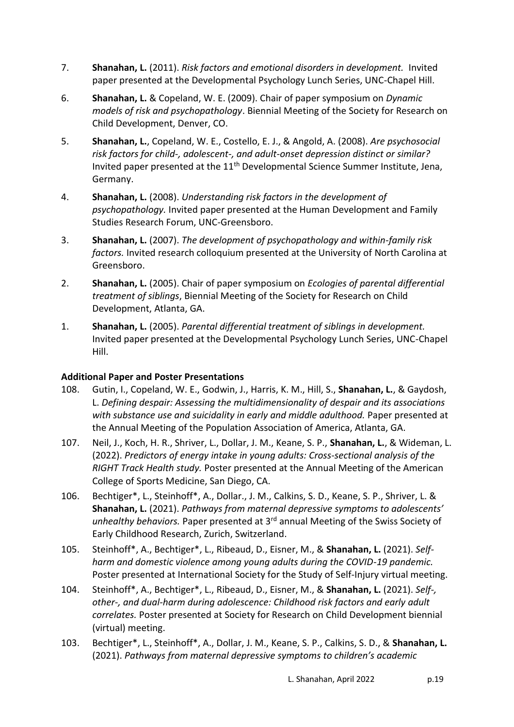- 7. **Shanahan, L.** (2011). *Risk factors and emotional disorders in development.* Invited paper presented at the Developmental Psychology Lunch Series, UNC-Chapel Hill.
- 6. **Shanahan, L.** & Copeland, W. E. (2009). Chair of paper symposium on *Dynamic models of risk and psychopathology*. Biennial Meeting of the Society for Research on Child Development, Denver, CO.
- 5. **Shanahan, L.**, Copeland, W. E., Costello, E. J., & Angold, A. (2008). *Are psychosocial risk factors for child-, adolescent-, and adult-onset depression distinct or similar?* Invited paper presented at the  $11<sup>th</sup>$  Developmental Science Summer Institute, Jena, Germany.
- 4. **Shanahan, L.** (2008). *Understanding risk factors in the development of psychopathology.* Invited paper presented at the Human Development and Family Studies Research Forum, UNC-Greensboro.
- 3. **Shanahan, L.** (2007). *The development of psychopathology and within-family risk factors.* Invited research colloquium presented at the University of North Carolina at Greensboro.
- 2. **Shanahan, L.** (2005). Chair of paper symposium on *Ecologies of parental differential treatment of siblings*, Biennial Meeting of the Society for Research on Child Development, Atlanta, GA.
- 1. **Shanahan, L.** (2005). *Parental differential treatment of siblings in development.* Invited paper presented at the Developmental Psychology Lunch Series, UNC-Chapel Hill.

## **Additional Paper and Poster Presentations**

- 108. Gutin, I., Copeland, W. E., Godwin, J., Harris, K. M., Hill, S., **Shanahan, L.**, & Gaydosh, L. *Defining despair: Assessing the multidimensionality of despair and its associations with substance use and suicidality in early and middle adulthood.* Paper presented at the Annual Meeting of the Population Association of America, Atlanta, GA.
- 107. Neil, J., Koch, H. R., Shriver, L., Dollar, J. M., Keane, S. P., **Shanahan, L.**, & Wideman, L. (2022). *Predictors of energy intake in young adults: Cross-sectional analysis of the RIGHT Track Health study.* Poster presented at the Annual Meeting of the American College of Sports Medicine, San Diego, CA.
- 106. Bechtiger\*, L., Steinhoff\*, A., Dollar., J. M., Calkins, S. D., Keane, S. P., Shriver, L. & **Shanahan, L.** (2021). *Pathways from maternal depressive symptoms to adolescents' unhealthy behaviors.* Paper presented at 3rd annual Meeting of the Swiss Society of Early Childhood Research, Zurich, Switzerland.
- 105. Steinhoff\*, A., Bechtiger\*, L., Ribeaud, D., Eisner, M., & **Shanahan, L.** (2021). *Selfharm and domestic violence among young adults during the COVID-19 pandemic.* Poster presented at International Society for the Study of Self-Injury virtual meeting.
- 104. Steinhoff\*, A., Bechtiger\*, L., Ribeaud, D., Eisner, M., & **Shanahan, L.** (2021). *Self-, other-, and dual-harm during adolescence: Childhood risk factors and early adult correlates.* Poster presented at Society for Research on Child Development biennial (virtual) meeting.
- 103. Bechtiger\*, L., Steinhoff\*, A., Dollar, J. M., Keane, S. P., Calkins, S. D., & **Shanahan, L.** (2021). *Pathways from maternal depressive symptoms to children's academic*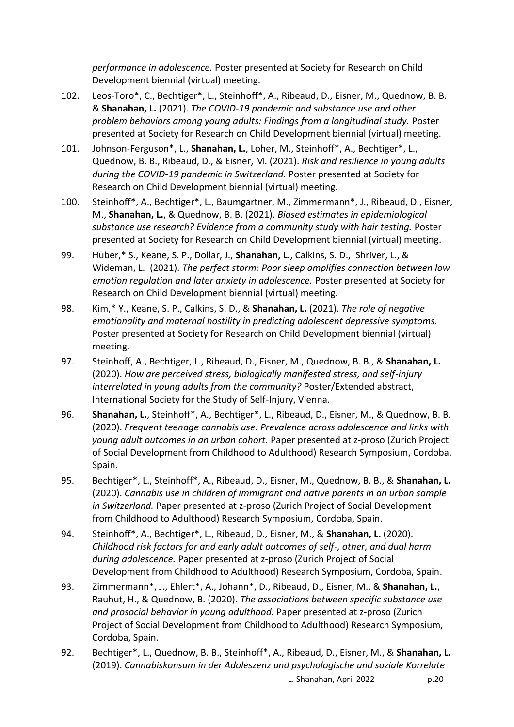*performance in adolescence.* Poster presented at Society for Research on Child Development biennial (virtual) meeting.

- 102. Leos-Toro\*, C., Bechtiger\*, L., Steinhoff\*, A., Ribeaud, D., Eisner, M., Quednow, B. B. & **Shanahan, L.** (2021). *The COVID-19 pandemic and substance use and other problem behaviors among young adults: Findings from a longitudinal study.* Poster presented at Society for Research on Child Development biennial (virtual) meeting.
- 101. Johnson-Ferguson\*, L., **Shanahan, L.**, Loher, M., Steinhoff\*, A., Bechtiger\*, L., Quednow, B. B., Ribeaud, D., & Eisner, M. (2021). *Risk and resilience in young adults during the COVID-19 pandemic in Switzerland.* Poster presented at Society for Research on Child Development biennial (virtual) meeting.
- 100. Steinhoff\*, A., Bechtiger\*, L., Baumgartner, M., Zimmermann\*, J., Ribeaud, D., Eisner, M., **Shanahan, L.**, & Quednow, B. B. (2021). *Biased estimates in epidemiological substance use research? Evidence from a community study with hair testing.* Poster presented at Society for Research on Child Development biennial (virtual) meeting.
- 99. Huber,\* S., Keane, S. P., Dollar, J., **Shanahan, L.**, Calkins, S. D., Shriver, L., & Wideman, L. (2021). *The perfect storm: Poor sleep amplifies connection between low emotion regulation and later anxiety in adolescence.* Poster presented at Society for Research on Child Development biennial (virtual) meeting.
- 98. Kim,\* Y., Keane, S. P., Calkins, S. D., & **Shanahan, L.** (2021). *The role of negative emotionality and maternal hostility in predicting adolescent depressive symptoms.* Poster presented at Society for Research on Child Development biennial (virtual) meeting.
- 97. Steinhoff, A., Bechtiger, L., Ribeaud, D., Eisner, M., Quednow, B. B., & **Shanahan, L.** (2020). *How are perceived stress, biologically manifested stress, and self-injury interrelated in young adults from the community?* Poster/Extended abstract, International Society for the Study of Self-Injury, Vienna.
- 96. **Shanahan, L.**, Steinhoff\*, A., Bechtiger\*, L., Ribeaud, D., Eisner, M., & Quednow, B. B. (2020). *Frequent teenage cannabis use: Prevalence across adolescence and links with young adult outcomes in an urban cohort.* Paper presented at z-proso (Zurich Project of Social Development from Childhood to Adulthood) Research Symposium, Cordoba, Spain.
- 95. Bechtiger\*, L., Steinhoff\*, A., Ribeaud, D., Eisner, M., Quednow, B. B., & **Shanahan, L.** (2020). *Cannabis use in children of immigrant and native parents in an urban sample in Switzerland.* Paper presented at z-proso (Zurich Project of Social Development from Childhood to Adulthood) Research Symposium, Cordoba, Spain.
- 94. Steinhoff\*, A., Bechtiger\*, L., Ribeaud, D., Eisner, M., & **Shanahan, L.** (2020). *Childhood risk factors for and early adult outcomes of self-, other, and dual harm during adolescence.* Paper presented at z-proso (Zurich Project of Social Development from Childhood to Adulthood) Research Symposium, Cordoba, Spain.
- 93. Zimmermann\*, J., Ehlert\*, A., Johann\*, D., Ribeaud, D., Eisner, M., & **Shanahan, L.**, Rauhut, H., & Quednow, B. (2020). *The associations between specific substance use and prosocial behavior in young adulthood.* Paper presented at z-proso (Zurich Project of Social Development from Childhood to Adulthood) Research Symposium, Cordoba, Spain.
- 92. Bechtiger\*, L., Quednow, B. B., Steinhoff\*, A., Ribeaud, D., Eisner, M., & **Shanahan, L.** (2019). *Cannabiskonsum in der Adoleszenz und psychologische und soziale Korrelate*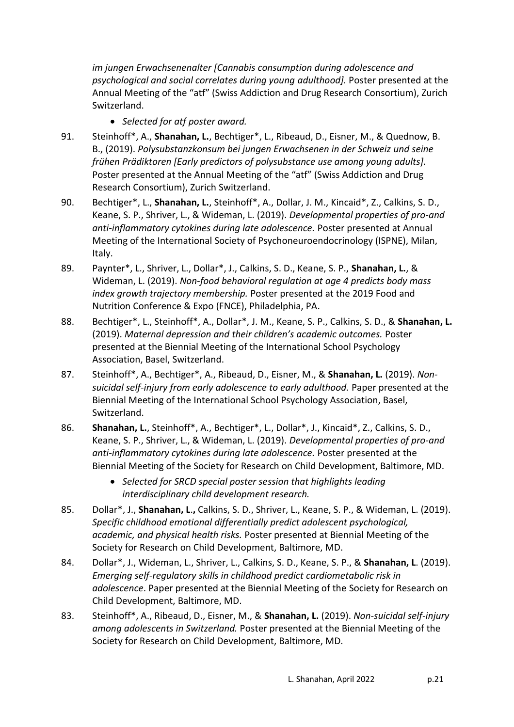*im jungen Erwachsenenalter [Cannabis consumption during adolescence and psychological and social correlates during young adulthood].* Poster presented at the Annual Meeting of the "atf" (Swiss Addiction and Drug Research Consortium), Zurich Switzerland.

- *Selected for atf poster award.*
- 91. Steinhoff\*, A., **Shanahan, L.**, Bechtiger\*, L., Ribeaud, D., Eisner, M., & Quednow, B. B., (2019). *Polysubstanzkonsum bei jungen Erwachsenen in der Schweiz und seine frühen Prädiktoren [Early predictors of polysubstance use among young adults].*  Poster presented at the Annual Meeting of the "atf" (Swiss Addiction and Drug Research Consortium), Zurich Switzerland.
- 90. Bechtiger\*, L., **Shanahan, L.**, Steinhoff\*, A., Dollar, J. M., Kincaid\*, Z., Calkins, S. D., Keane, S. P., Shriver, L., & Wideman, L. (2019). *Developmental properties of pro-and anti-inflammatory cytokines during late adolescence.* Poster presented at Annual Meeting of the International Society of Psychoneuroendocrinology (ISPNE), Milan, Italy.
- 89. Paynter\*, L., Shriver, L., Dollar\*, J., Calkins, S. D., Keane, S. P., **Shanahan, L.**, & Wideman, L. (2019). *Non-food behavioral regulation at age 4 predicts body mass index growth trajectory membership.* Poster presented at the 2019 Food and Nutrition Conference & Expo (FNCE), Philadelphia, PA.
- 88. Bechtiger\*, L., Steinhoff\*, A., Dollar\*, J. M., Keane, S. P., Calkins, S. D., & **Shanahan, L.** (2019). *Maternal depression and their children's academic outcomes.* Poster presented at the Biennial Meeting of the International School Psychology Association, Basel, Switzerland.
- 87. Steinhoff\*, A., Bechtiger\*, A., Ribeaud, D., Eisner, M., & **Shanahan, L.** (2019). *Nonsuicidal self-injury from early adolescence to early adulthood.* Paper presented at the Biennial Meeting of the International School Psychology Association, Basel, Switzerland.
- 86. **Shanahan, L.**, Steinhoff\*, A., Bechtiger\*, L., Dollar\*, J., Kincaid\*, Z., Calkins, S. D., Keane, S. P., Shriver, L., & Wideman, L. (2019). *Developmental properties of pro-and anti-inflammatory cytokines during late adolescence.* Poster presented at the Biennial Meeting of the Society for Research on Child Development, Baltimore, MD.
	- *Selected for SRCD special poster session that highlights leading interdisciplinary child development research.*
- 85. Dollar\*, J., **Shanahan, L**.**,** Calkins, S. D., Shriver, L., Keane, S. P., & Wideman, L. (2019). *Specific childhood emotional differentially predict adolescent psychological, academic, and physical health risks.* Poster presented at Biennial Meeting of the Society for Research on Child Development, Baltimore, MD.
- 84. Dollar\*, J., Wideman, L., Shriver, L., Calkins, S. D., Keane, S. P., & **Shanahan, L**. (2019). *Emerging self-regulatory skills in childhood predict cardiometabolic risk in adolescence*. Paper presented at the Biennial Meeting of the Society for Research on Child Development, Baltimore, MD.
- 83. Steinhoff\*, A., Ribeaud, D., Eisner, M., & **Shanahan, L.** (2019). *Non-suicidal self-injury among adolescents in Switzerland.* Poster presented at the Biennial Meeting of the Society for Research on Child Development, Baltimore, MD.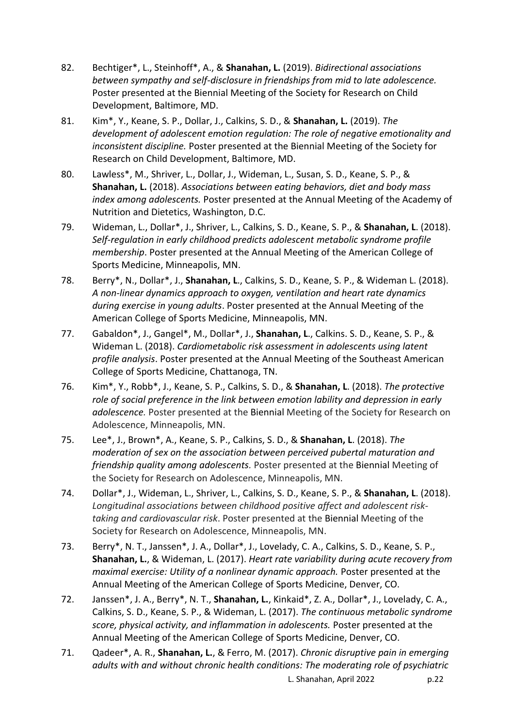- 82. Bechtiger\*, L., Steinhoff\*, A., & **Shanahan, L.** (2019). *Bidirectional associations between sympathy and self-disclosure in friendships from mid to late adolescence.* Poster presented at the Biennial Meeting of the Society for Research on Child Development, Baltimore, MD.
- 81. Kim\*, Y., Keane, S. P., Dollar, J., Calkins, S. D., & **Shanahan, L.** (2019). *The development of adolescent emotion regulation: The role of negative emotionality and inconsistent discipline.* Poster presented at the Biennial Meeting of the Society for Research on Child Development, Baltimore, MD.
- 80. Lawless\*, M., Shriver, L., Dollar, J., Wideman, L., Susan, S. D., Keane, S. P., & **Shanahan, L.** (2018). *Associations between eating behaviors, diet and body mass index among adolescents.* Poster presented at the Annual Meeting of the Academy of Nutrition and Dietetics, Washington, D.C.
- 79. Wideman, L., Dollar\*, J., Shriver, L., Calkins, S. D., Keane, S. P., & **Shanahan, L**. (2018). *Self-regulation in early childhood predicts adolescent metabolic syndrome profile membership*. Poster presented at the Annual Meeting of the American College of Sports Medicine, Minneapolis, MN.
- 78. Berry\*, N., Dollar\*, J., **Shanahan, L**., Calkins, S. D., Keane, S. P., & Wideman L. (2018). *A non-linear dynamics approach to oxygen, ventilation and heart rate dynamics during exercise in young adults*. Poster presented at the Annual Meeting of the American College of Sports Medicine, Minneapolis, MN.
- 77. Gabaldon\*, J., Gangel\*, M., Dollar\*, J., **Shanahan, L**., Calkins. S. D., Keane, S. P., & Wideman L. (2018). *Cardiometabolic risk assessment in adolescents using latent profile analysis*. Poster presented at the Annual Meeting of the Southeast American College of Sports Medicine, Chattanoga, TN.
- 76. Kim\*, Y., Robb\*, J., Keane, S. P., Calkins, S. D., & **Shanahan, L**. (2018). *The protective role of social preference in the link between emotion lability and depression in early adolescence.* Poster presented at the Biennial Meeting of the Society for Research on Adolescence, Minneapolis, MN.
- 75. Lee\*, J., Brown\*, A., Keane, S. P., Calkins, S. D., & **Shanahan, L**. (2018). *The moderation of sex on the association between perceived pubertal maturation and friendship quality among adolescents.* Poster presented at the Biennial Meeting of the Society for Research on Adolescence, Minneapolis, MN.
- 74. Dollar\*, J., Wideman, L., Shriver, L., Calkins, S. D., Keane, S. P., & **Shanahan, L**. (2018). *Longitudinal associations between childhood positive affect and adolescent risktaking and cardiovascular risk*. Poster presented at the Biennial Meeting of the Society for Research on Adolescence, Minneapolis, MN.
- 73. Berry\*, N. T., Janssen\*, J. A., Dollar\*, J., Lovelady, C. A., Calkins, S. D., Keane, S. P., **Shanahan, L.**, & Wideman, L. (2017). *Heart rate variability during acute recovery from maximal exercise: Utility of a nonlinear dynamic approach.* Poster presented at the Annual Meeting of the American College of Sports Medicine, Denver, CO.
- 72. Janssen\*, J. A., Berry\*, N. T., **Shanahan, L.**, Kinkaid\*, Z. A., Dollar\*, J., Lovelady, C. A., Calkins, S. D., Keane, S. P., & Wideman, L. (2017). *The continuous metabolic syndrome score, physical activity, and inflammation in adolescents.* Poster presented at the Annual Meeting of the American College of Sports Medicine, Denver, CO.
- L. Shanahan, April 2022 p.22 71. Qadeer\*, A. R., **Shanahan, L.**, & Ferro, M. (2017). *Chronic disruptive pain in emerging adults with and without chronic health conditions: The moderating role of psychiatric*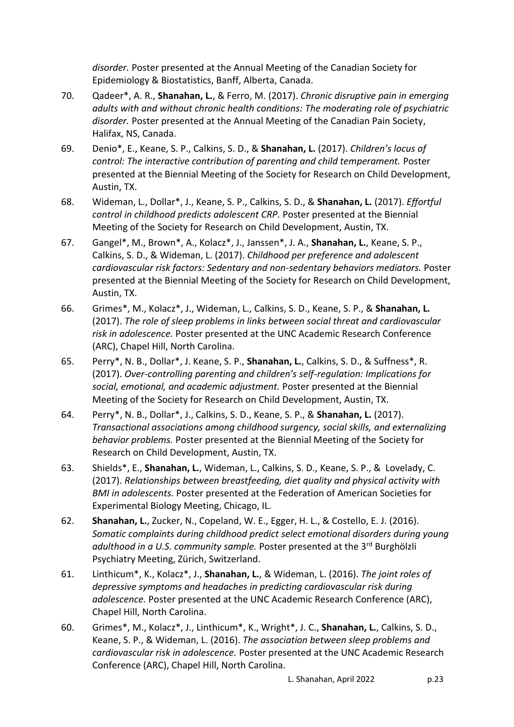*disorder.* Poster presented at the Annual Meeting of the Canadian Society for Epidemiology & Biostatistics, Banff, Alberta, Canada.

- 70. Qadeer\*, A. R., **Shanahan, L.**, & Ferro, M. (2017). *Chronic disruptive pain in emerging adults with and without chronic health conditions: The moderating role of psychiatric disorder.* Poster presented at the Annual Meeting of the Canadian Pain Society, Halifax, NS, Canada.
- 69. Denio\*, E., Keane, S. P., Calkins, S. D., & **Shanahan, L.** (2017). *Children's locus of control: The interactive contribution of parenting and child temperament. Poster* presented at the Biennial Meeting of the Society for Research on Child Development, Austin, TX.
- 68. Wideman, L., Dollar\*, J., Keane, S. P., Calkins, S. D., & **Shanahan, L.** (2017). *Effortful control in childhood predicts adolescent CRP.* Poster presented at the Biennial Meeting of the Society for Research on Child Development, Austin, TX.
- 67. Gangel\*, M., Brown\*, A., Kolacz\*, J., Janssen\*, J. A., **Shanahan, L.**, Keane, S. P., Calkins, S. D., & Wideman, L. (2017). *Childhood per preference and adolescent cardiovascular risk factors: Sedentary and non-sedentary behaviors mediators.* Poster presented at the Biennial Meeting of the Society for Research on Child Development, Austin, TX.
- 66. Grimes\*, M., Kolacz\*, J., Wideman, L., Calkins, S. D., Keane, S. P., & **Shanahan, L.** (2017). *The role of sleep problems in links between social threat and cardiovascular risk in adolescence.* Poster presented at the UNC Academic Research Conference (ARC), Chapel Hill, North Carolina.
- 65. Perry\*, N. B., Dollar\*, J. Keane, S. P., **Shanahan, L.**, Calkins, S. D., & Suffness\*, R. (2017). *Over-controlling parenting and children's self-regulation: Implications for social, emotional, and academic adjustment.* Poster presented at the Biennial Meeting of the Society for Research on Child Development, Austin, TX.
- 64. Perry\*, N. B., Dollar\*, J., Calkins, S. D., Keane, S. P., & **Shanahan, L.** (2017). *Transactional associations among childhood surgency, social skills, and externalizing behavior problems.* Poster presented at the Biennial Meeting of the Society for Research on Child Development, Austin, TX.
- 63. Shields\*, E., **Shanahan, L.**, Wideman, L., Calkins, S. D., Keane, S. P., & Lovelady, C. (2017). *Relationships between breastfeeding, diet quality and physical activity with BMI in adolescents.* Poster presented at the Federation of American Societies for Experimental Biology Meeting, Chicago, IL.
- 62. **Shanahan, L.**, Zucker, N., Copeland, W. E., Egger, H. L., & Costello, E. J. (2016). *Somatic complaints during childhood predict select emotional disorders during young adulthood in a U.S. community sample.* Poster presented at the 3rd Burghölzli Psychiatry Meeting, Zürich, Switzerland.
- 61. Linthicum\*, K., Kolacz\*, J., **Shanahan, L.**, & Wideman, L. (2016). *The joint roles of depressive symptoms and headaches in predicting cardiovascular risk during adolescence.* Poster presented at the UNC Academic Research Conference (ARC), Chapel Hill, North Carolina.
- 60. Grimes\*, M., Kolacz\*, J., Linthicum\*, K., Wright\*, J. C., **Shanahan, L.**, Calkins, S. D., Keane, S. P., & Wideman, L. (2016). *The association between sleep problems and cardiovascular risk in adolescence.* Poster presented at the UNC Academic Research Conference (ARC), Chapel Hill, North Carolina.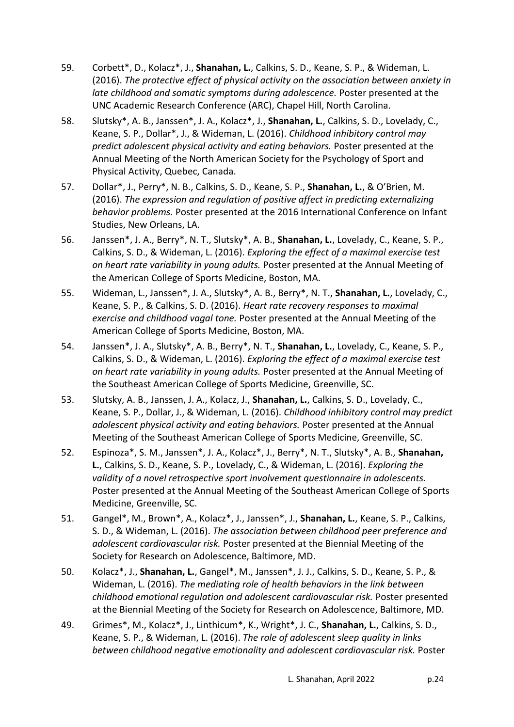- 59. Corbett\*, D., Kolacz\*, J., **Shanahan, L.**, Calkins, S. D., Keane, S. P., & Wideman, L. (2016). *The protective effect of physical activity on the association between anxiety in late childhood and somatic symptoms during adolescence.* Poster presented at the UNC Academic Research Conference (ARC), Chapel Hill, North Carolina.
- 58. Slutsky\*, A. B., Janssen\*, J. A., Kolacz\*, J., **Shanahan, L.**, Calkins, S. D., Lovelady, C., Keane, S. P., Dollar\*, J., & Wideman, L. (2016). *Childhood inhibitory control may predict adolescent physical activity and eating behaviors.* Poster presented at the Annual Meeting of the North American Society for the Psychology of Sport and Physical Activity, Quebec, Canada.
- 57. Dollar\*, J., Perry\*, N. B., Calkins, S. D., Keane, S. P., **Shanahan, L.**, & O'Brien, M. (2016). *The expression and regulation of positive affect in predicting externalizing behavior problems.* Poster presented at the 2016 International Conference on Infant Studies, New Orleans, LA.
- 56. Janssen\*, J. A., Berry\*, N. T., Slutsky\*, A. B., **Shanahan, L.**, Lovelady, C., Keane, S. P., Calkins, S. D., & Wideman, L. (2016). *Exploring the effect of a maximal exercise test on heart rate variability in young adults.* Poster presented at the Annual Meeting of the American College of Sports Medicine, Boston, MA.
- 55. Wideman, L., Janssen\*, J. A., Slutsky\*, A. B., Berry\*, N. T., **Shanahan, L.**, Lovelady, C., Keane, S. P., & Calkins, S. D. (2016). *Heart rate recovery responses to maximal exercise and childhood vagal tone.* Poster presented at the Annual Meeting of the American College of Sports Medicine, Boston, MA.
- 54. Janssen\*, J. A., Slutsky\*, A. B., Berry\*, N. T., **Shanahan, L.**, Lovelady, C., Keane, S. P., Calkins, S. D., & Wideman, L. (2016). *Exploring the effect of a maximal exercise test on heart rate variability in young adults.* Poster presented at the Annual Meeting of the Southeast American College of Sports Medicine, Greenville, SC.
- 53. Slutsky, A. B., Janssen, J. A., Kolacz, J., **Shanahan, L.**, Calkins, S. D., Lovelady, C., Keane, S. P., Dollar, J., & Wideman, L. (2016). *Childhood inhibitory control may predict adolescent physical activity and eating behaviors.* Poster presented at the Annual Meeting of the Southeast American College of Sports Medicine, Greenville, SC.
- 52. Espinoza\*, S. M., Janssen\*, J. A., Kolacz\*, J., Berry\*, N. T., Slutsky\*, A. B., **Shanahan, L.**, Calkins, S. D., Keane, S. P., Lovelady, C., & Wideman, L. (2016). *Exploring the validity of a novel retrospective sport involvement questionnaire in adolescents.* Poster presented at the Annual Meeting of the Southeast American College of Sports Medicine, Greenville, SC.
- 51. Gangel\*, M., Brown\*, A., Kolacz\*, J., Janssen\*, J., **Shanahan, L.**, Keane, S. P., Calkins, S. D., & Wideman, L. (2016). *The association between childhood peer preference and adolescent cardiovascular risk.* Poster presented at the Biennial Meeting of the Society for Research on Adolescence, Baltimore, MD.
- 50. Kolacz\*, J., **Shanahan, L.**, Gangel\*, M., Janssen\*, J. J., Calkins, S. D., Keane, S. P., & Wideman, L. (2016). *The mediating role of health behaviors in the link between childhood emotional regulation and adolescent cardiovascular risk.* Poster presented at the Biennial Meeting of the Society for Research on Adolescence, Baltimore, MD.
- 49. Grimes\*, M., Kolacz\*, J., Linthicum\*, K., Wright\*, J. C., **Shanahan, L.**, Calkins, S. D., Keane, S. P., & Wideman, L. (2016). *The role of adolescent sleep quality in links between childhood negative emotionality and adolescent cardiovascular risk.* Poster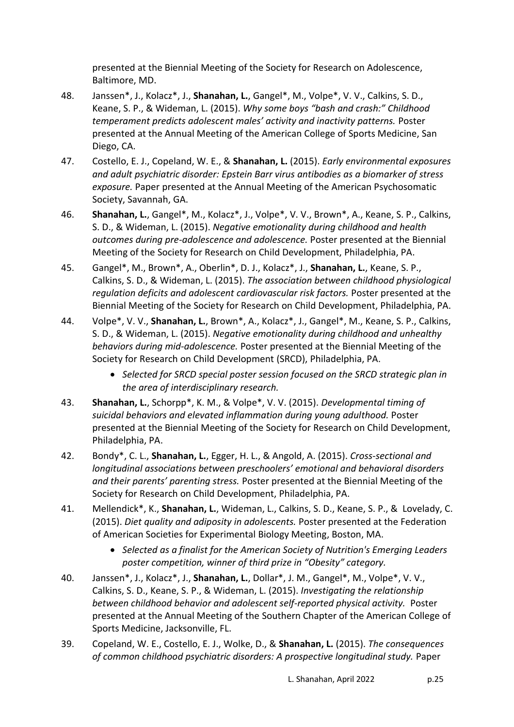presented at the Biennial Meeting of the Society for Research on Adolescence, Baltimore, MD.

- 48. Janssen\*, J., Kolacz\*, J., **Shanahan, L.**, Gangel\*, M., Volpe\*, V. V., Calkins, S. D., Keane, S. P., & Wideman, L. (2015). *Why some boys "bash and crash:" Childhood temperament predicts adolescent males' activity and inactivity patterns.* Poster presented at the Annual Meeting of the American College of Sports Medicine, San Diego, CA.
- 47. Costello, E. J., Copeland, W. E., & **Shanahan, L.** (2015). *Early environmental exposures and adult psychiatric disorder: Epstein Barr virus antibodies as a biomarker of stress exposure.* Paper presented at the Annual Meeting of the American Psychosomatic Society, Savannah, GA.
- 46. **Shanahan, L.**, Gangel\*, M., Kolacz\*, J., Volpe\*, V. V., Brown\*, A., Keane, S. P., Calkins, S. D., & Wideman, L. (2015). *Negative emotionality during childhood and health outcomes during pre-adolescence and adolescence.* Poster presented at the Biennial Meeting of the Society for Research on Child Development, Philadelphia, PA.
- 45. Gangel\*, M., Brown\*, A., Oberlin\*, D. J., Kolacz\*, J., **Shanahan, L.**, Keane, S. P., Calkins, S. D., & Wideman, L. (2015). *The association between childhood physiological regulation deficits and adolescent cardiovascular risk factors.* Poster presented at the Biennial Meeting of the Society for Research on Child Development, Philadelphia, PA.
- 44. Volpe\*, V. V., **Shanahan, L.**, Brown\*, A., Kolacz\*, J., Gangel\*, M., Keane, S. P., Calkins, S. D., & Wideman, L. (2015). *Negative emotionality during childhood and unhealthy behaviors during mid-adolescence.* Poster presented at the Biennial Meeting of the Society for Research on Child Development (SRCD), Philadelphia, PA.
	- *Selected for SRCD special poster session focused on the SRCD strategic plan in the area of interdisciplinary research.*
- 43. **Shanahan, L.**, Schorpp\*, K. M., & Volpe\*, V. V. (2015). *Developmental timing of suicidal behaviors and elevated inflammation during young adulthood.* Poster presented at the Biennial Meeting of the Society for Research on Child Development, Philadelphia, PA.
- 42. Bondy\*, C. L., **Shanahan, L.**, Egger, H. L., & Angold, A. (2015). *Cross-sectional and longitudinal associations between preschoolers' emotional and behavioral disorders and their parents' parenting stress.* Poster presented at the Biennial Meeting of the Society for Research on Child Development, Philadelphia, PA.
- 41. Mellendick\*, K., **Shanahan, L.**, Wideman, L., Calkins, S. D., Keane, S. P., & Lovelady, C. (2015). *Diet quality and adiposity in adolescents.* Poster presented at the Federation of American Societies for Experimental Biology Meeting, Boston, MA.
	- *Selected as a finalist for the American Society of Nutrition's Emerging Leaders poster competition, winner of third prize in "Obesity" category.*
- 40. Janssen\*, J., Kolacz\*, J., **Shanahan, L.**, Dollar\*, J. M., Gangel\*, M., Volpe\*, V. V., Calkins, S. D., Keane, S. P., & Wideman, L. (2015). *Investigating the relationship between childhood behavior and adolescent self-reported physical activity.* Poster presented at the Annual Meeting of the Southern Chapter of the American College of Sports Medicine, Jacksonville, FL.
- 39. Copeland, W. E., Costello, E. J., Wolke, D., & **Shanahan, L.** (2015). *The consequences of common childhood psychiatric disorders: A prospective longitudinal study.* Paper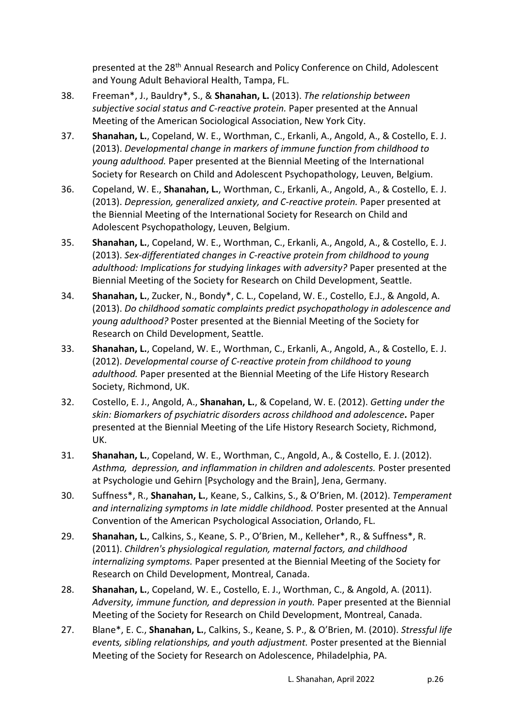presented at the 28<sup>th</sup> Annual Research and Policy Conference on Child, Adolescent and Young Adult Behavioral Health, Tampa, FL.

- 38. Freeman\*, J., Bauldry\*, S., & **Shanahan, L.** (2013). *The relationship between subjective social status and C-reactive protein.* Paper presented at the Annual Meeting of the American Sociological Association, New York City.
- 37. **Shanahan, L.**, Copeland, W. E., Worthman, C., Erkanli, A., Angold, A., & Costello, E. J. (2013). *Developmental change in markers of immune function from childhood to young adulthood.* Paper presented at the Biennial Meeting of the International Society for Research on Child and Adolescent Psychopathology, Leuven, Belgium.
- 36. Copeland, W. E., **Shanahan, L.**, Worthman, C., Erkanli, A., Angold, A., & Costello, E. J. (2013). *Depression, generalized anxiety, and C-reactive protein.* Paper presented at the Biennial Meeting of the International Society for Research on Child and Adolescent Psychopathology, Leuven, Belgium.
- 35. **Shanahan, L.**, Copeland, W. E., Worthman, C., Erkanli, A., Angold, A., & Costello, E. J. (2013). *Sex-differentiated changes in C-reactive protein from childhood to young adulthood: Implications for studying linkages with adversity?* Paper presented at the Biennial Meeting of the Society for Research on Child Development, Seattle.
- 34. **Shanahan, L.**, Zucker, N., Bondy\*, C. L., Copeland, W. E., Costello, E.J., & Angold, A. (2013). *Do childhood somatic complaints predict psychopathology in adolescence and young adulthood?* Poster presented at the Biennial Meeting of the Society for Research on Child Development, Seattle.
- 33. **Shanahan, L.**, Copeland, W. E., Worthman, C., Erkanli, A., Angold, A., & Costello, E. J. (2012). *Developmental course of C-reactive protein from childhood to young adulthood.* Paper presented at the Biennial Meeting of the Life History Research Society, Richmond, UK.
- 32. Costello, E. J., Angold, A., **Shanahan, L.**, & Copeland, W. E. (2012). *Getting under the skin: Biomarkers of psychiatric disorders across childhood and adolescence.* Paper presented at the Biennial Meeting of the Life History Research Society, Richmond, UK.
- 31. **Shanahan, L.**, Copeland, W. E., Worthman, C., Angold, A., & Costello, E. J. (2012). *Asthma, depression, and inflammation in children and adolescents.* Poster presented at Psychologie und Gehirn [Psychology and the Brain], Jena, Germany.
- 30. Suffness\*, R., **Shanahan, L.**, Keane, S., Calkins, S., & O'Brien, M. (2012). *Temperament and internalizing symptoms in late middle childhood.* Poster presented at the Annual Convention of the American Psychological Association, Orlando, FL.
- 29. **Shanahan, L.**, Calkins, S., Keane, S. P., O'Brien, M., Kelleher\*, R., & Suffness\*, R. (2011). *Children's physiological regulation, maternal factors, and childhood internalizing symptoms.* Paper presented at the Biennial Meeting of the Society for Research on Child Development, Montreal, Canada.
- 28. **Shanahan, L.**, Copeland, W. E., Costello, E. J., Worthman, C., & Angold, A. (2011). *Adversity, immune function, and depression in youth.* Paper presented at the Biennial Meeting of the Society for Research on Child Development, Montreal, Canada.
- 27. Blane\*, E. C., **Shanahan, L.**, Calkins, S., Keane, S. P., & O'Brien, M. (2010). *Stressful life events, sibling relationships, and youth adjustment.* Poster presented at the Biennial Meeting of the Society for Research on Adolescence, Philadelphia, PA.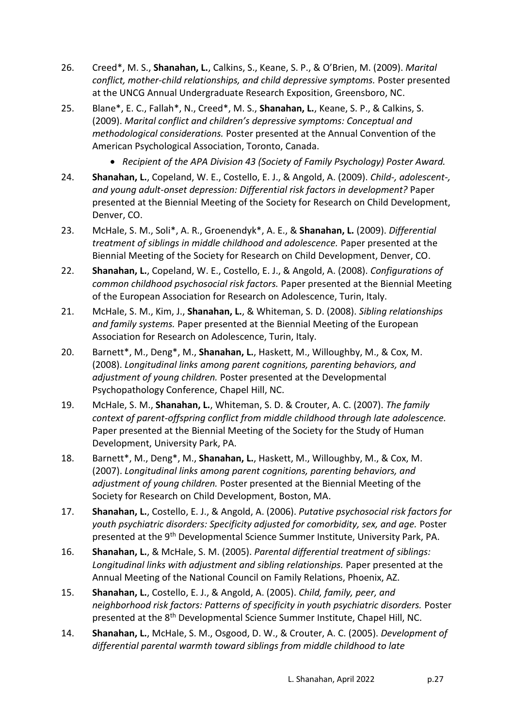- 26. Creed\*, M. S., **Shanahan, L.**, Calkins, S., Keane, S. P., & O'Brien, M. (2009). *Marital conflict, mother-child relationships, and child depressive symptoms.* Poster presented at the UNCG Annual Undergraduate Research Exposition, Greensboro, NC.
- 25. Blane\*, E. C., Fallah\*, N., Creed\*, M. S., **Shanahan, L.**, Keane, S. P., & Calkins, S. (2009). *Marital conflict and children's depressive symptoms: Conceptual and methodological considerations.* Poster presented at the Annual Convention of the American Psychological Association, Toronto, Canada.
	- *Recipient of the APA Division 43 (Society of Family Psychology) Poster Award.*
- 24. **Shanahan, L.**, Copeland, W. E., Costello, E. J., & Angold, A. (2009). *Child-, adolescent-, and young adult-onset depression: Differential risk factors in development?* Paper presented at the Biennial Meeting of the Society for Research on Child Development, Denver, CO.
- 23. McHale, S. M., Soli\*, A. R., Groenendyk\*, A. E., & **Shanahan, L.** (2009). *Differential treatment of siblings in middle childhood and adolescence.* Paper presented at the Biennial Meeting of the Society for Research on Child Development, Denver, CO.
- 22. **Shanahan, L.**, Copeland, W. E., Costello, E. J., & Angold, A. (2008). *Configurations of common childhood psychosocial risk factors.* Paper presented at the Biennial Meeting of the European Association for Research on Adolescence, Turin, Italy.
- 21. McHale, S. M., Kim, J., **Shanahan, L.**, & Whiteman, S. D. (2008). *Sibling relationships and family systems.* Paper presented at the Biennial Meeting of the European Association for Research on Adolescence, Turin, Italy.
- 20. Barnett\*, M., Deng\*, M., **Shanahan, L.**, Haskett, M., Willoughby, M., & Cox, M. (2008). *Longitudinal links among parent cognitions, parenting behaviors, and adjustment of young children.* Poster presented at the Developmental Psychopathology Conference, Chapel Hill, NC.
- 19. McHale, S. M., **Shanahan, L.**, Whiteman, S. D. & Crouter, A. C. (2007). *The family context of parent-offspring conflict from middle childhood through late adolescence.* Paper presented at the Biennial Meeting of the Society for the Study of Human Development, University Park, PA.
- 18. Barnett\*, M., Deng\*, M., **Shanahan, L.**, Haskett, M., Willoughby, M., & Cox, M. (2007). *Longitudinal links among parent cognitions, parenting behaviors, and adjustment of young children.* Poster presented at the Biennial Meeting of the Society for Research on Child Development, Boston, MA.
- 17. **Shanahan, L.**, Costello, E. J., & Angold, A. (2006). *Putative psychosocial risk factors for youth psychiatric disorders: Specificity adjusted for comorbidity, sex, and age.* Poster presented at the 9<sup>th</sup> Developmental Science Summer Institute, University Park, PA.
- 16. **Shanahan, L.**, & McHale, S. M. (2005). *Parental differential treatment of siblings: Longitudinal links with adjustment and sibling relationships.* Paper presented at the Annual Meeting of the National Council on Family Relations, Phoenix, AZ.
- 15. **Shanahan, L.**, Costello, E. J., & Angold, A. (2005). *Child, family, peer, and neighborhood risk factors: Patterns of specificity in youth psychiatric disorders.* Poster presented at the 8<sup>th</sup> Developmental Science Summer Institute, Chapel Hill, NC.
- 14. **Shanahan, L.**, McHale, S. M., Osgood, D. W., & Crouter, A. C. (2005). *Development of differential parental warmth toward siblings from middle childhood to late*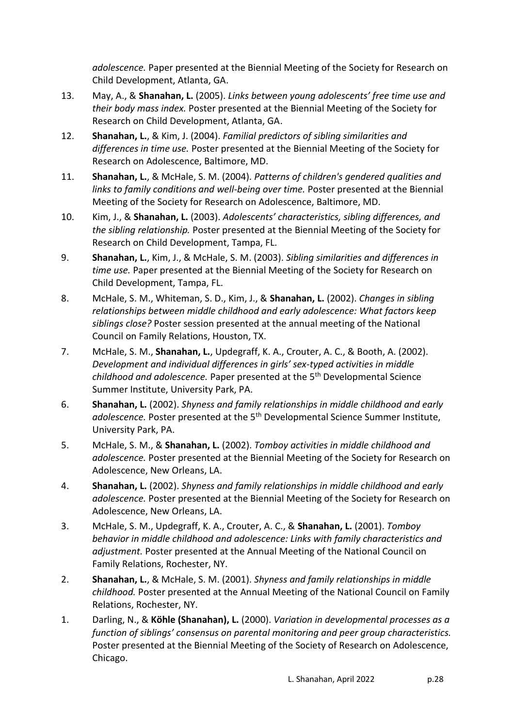*adolescence.* Paper presented at the Biennial Meeting of the Society for Research on Child Development, Atlanta, GA.

- 13. May, A., & **Shanahan, L.** (2005). *Links between young adolescents' free time use and their body mass index.* Poster presented at the Biennial Meeting of the Society for Research on Child Development, Atlanta, GA.
- 12. **Shanahan, L.**, & Kim, J. (2004). *Familial predictors of sibling similarities and differences in time use.* Poster presented at the Biennial Meeting of the Society for Research on Adolescence, Baltimore, MD.
- 11. **Shanahan, L.**, & McHale, S. M. (2004). *Patterns of children's gendered qualities and links to family conditions and well-being over time.* Poster presented at the Biennial Meeting of the Society for Research on Adolescence, Baltimore, MD.
- 10. Kim, J., & **Shanahan, L.** (2003). *Adolescents' characteristics, sibling differences, and the sibling relationship.* Poster presented at the Biennial Meeting of the Society for Research on Child Development, Tampa, FL.
- 9. **Shanahan, L.**, Kim, J., & McHale, S. M. (2003). *Sibling similarities and differences in time use.* Paper presented at the Biennial Meeting of the Society for Research on Child Development, Tampa, FL.
- 8. McHale, S. M., Whiteman, S. D., Kim, J., & **Shanahan, L.** (2002). *Changes in sibling relationships between middle childhood and early adolescence: What factors keep siblings close?* Poster session presented at the annual meeting of the National Council on Family Relations, Houston, TX.
- 7. McHale, S. M., **Shanahan, L.**, Updegraff, K. A., Crouter, A. C., & Booth, A. (2002). *Development and individual differences in girls' sex-typed activities in middle childhood and adolescence.* Paper presented at the 5th Developmental Science Summer Institute, University Park, PA.
- 6. **Shanahan, L.** (2002). *Shyness and family relationships in middle childhood and early*  adolescence. Poster presented at the 5<sup>th</sup> Developmental Science Summer Institute, University Park, PA.
- 5. McHale, S. M., & **Shanahan, L.** (2002). *Tomboy activities in middle childhood and adolescence.* Poster presented at the Biennial Meeting of the Society for Research on Adolescence, New Orleans, LA.
- 4. **Shanahan, L.** (2002). *Shyness and family relationships in middle childhood and early adolescence.* Poster presented at the Biennial Meeting of the Society for Research on Adolescence, New Orleans, LA.
- 3. McHale, S. M., Updegraff, K. A., Crouter, A. C., & **Shanahan, L.** (2001). *Tomboy behavior in middle childhood and adolescence: Links with family characteristics and adjustment.* Poster presented at the Annual Meeting of the National Council on Family Relations, Rochester, NY.
- 2. **Shanahan, L.**, & McHale, S. M. (2001). *Shyness and family relationships in middle childhood.* Poster presented at the Annual Meeting of the National Council on Family Relations, Rochester, NY.
- 1. Darling, N., & **Köhle (Shanahan), L.** (2000). *Variation in developmental processes as a function of siblings' consensus on parental monitoring and peer group characteristics.* Poster presented at the Biennial Meeting of the Society of Research on Adolescence, Chicago.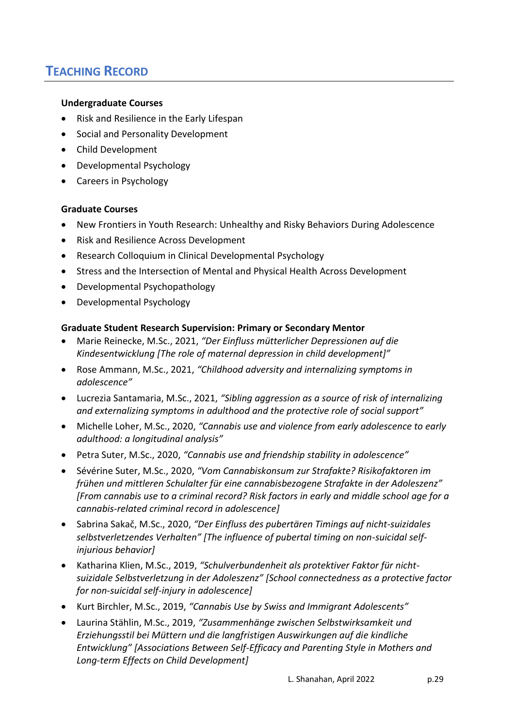# **TEACHING RECORD**

#### **Undergraduate Courses**

- Risk and Resilience in the Early Lifespan
- Social and Personality Development
- Child Development
- Developmental Psychology
- Careers in Psychology

#### **Graduate Courses**

- New Frontiers in Youth Research: Unhealthy and Risky Behaviors During Adolescence
- Risk and Resilience Across Development
- Research Colloquium in Clinical Developmental Psychology
- Stress and the Intersection of Mental and Physical Health Across Development
- Developmental Psychopathology
- Developmental Psychology

#### **Graduate Student Research Supervision: Primary or Secondary Mentor**

- Marie Reinecke, M.Sc., 2021, *"Der Einfluss mütterlicher Depressionen auf die Kindesentwicklung [The role of maternal depression in child development]"*
- Rose Ammann, M.Sc., 2021, *"Childhood adversity and internalizing symptoms in adolescence"*
- Lucrezia Santamaria, M.Sc., 2021, *"Sibling aggression as a source of risk of internalizing and externalizing symptoms in adulthood and the protective role of social support"*
- Michelle Loher, M.Sc., 2020, *"Cannabis use and violence from early adolescence to early adulthood: a longitudinal analysis"*
- Petra Suter, M.Sc., 2020, *"Cannabis use and friendship stability in adolescence"*
- Sévérine Suter, M.Sc., 2020, *"Vom Cannabiskonsum zur Strafakte? Risikofaktoren im frühen und mittleren Schulalter für eine cannabisbezogene Strafakte in der Adoleszenz" [From cannabis use to a criminal record? Risk factors in early and middle school age for a cannabis-related criminal record in adolescence]*
- Sabrina Sakač, M.Sc., 2020, *"Der Einfluss des pubertären Timings auf nicht-suizidales selbstverletzendes Verhalten" [The influence of pubertal timing on non-suicidal selfinjurious behavior]*
- Katharina Klien, M.Sc., 2019, *"Schulverbundenheit als protektiver Faktor für nichtsuizidale Selbstverletzung in der Adoleszenz" [School connectedness as a protective factor for non-suicidal self-injury in adolescence]*
- Kurt Birchler, M.Sc., 2019, *"Cannabis Use by Swiss and Immigrant Adolescents"*
- Laurina Stählin, M.Sc., 2019, *"Zusammenhänge zwischen Selbstwirksamkeit und Erziehungsstil bei Müttern und die langfristigen Auswirkungen auf die kindliche Entwicklung" [Associations Between Self-Efficacy and Parenting Style in Mothers and Long-term Effects on Child Development]*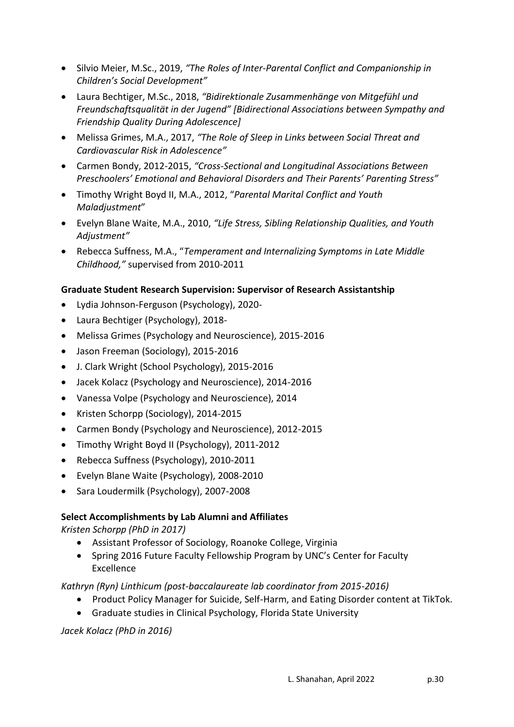- Silvio Meier, M.Sc., 2019, *"The Roles of Inter-Parental Conflict and Companionship in Children's Social Development"*
- Laura Bechtiger, M.Sc., 2018, *"Bidirektionale Zusammenhänge von Mitgefühl und Freundschaftsqualität in der Jugend" [Bidirectional Associations between Sympathy and Friendship Quality During Adolescence]*
- Melissa Grimes, M.A., 2017, *"The Role of Sleep in Links between Social Threat and Cardiovascular Risk in Adolescence"*
- Carmen Bondy, 2012-2015, *"Cross-Sectional and Longitudinal Associations Between Preschoolers' Emotional and Behavioral Disorders and Their Parents' Parenting Stress"*
- Timothy Wright Boyd II, M.A., 2012, "*Parental Marital Conflict and Youth Maladjustment*"
- Evelyn Blane Waite, M.A., 2010, *"Life Stress, Sibling Relationship Qualities, and Youth Adjustment"*
- Rebecca Suffness, M.A., "*Temperament and Internalizing Symptoms in Late Middle Childhood,"* supervised from 2010-2011

### **Graduate Student Research Supervision: Supervisor of Research Assistantship**

- Lydia Johnson-Ferguson (Psychology), 2020-
- Laura Bechtiger (Psychology), 2018-
- Melissa Grimes (Psychology and Neuroscience), 2015-2016
- Jason Freeman (Sociology), 2015-2016
- J. Clark Wright (School Psychology), 2015-2016
- Jacek Kolacz (Psychology and Neuroscience), 2014-2016
- Vanessa Volpe (Psychology and Neuroscience), 2014
- Kristen Schorpp (Sociology), 2014-2015
- Carmen Bondy (Psychology and Neuroscience), 2012-2015
- Timothy Wright Boyd II (Psychology), 2011-2012
- Rebecca Suffness (Psychology), 2010-2011
- Evelyn Blane Waite (Psychology), 2008-2010
- Sara Loudermilk (Psychology), 2007-2008

### **Select Accomplishments by Lab Alumni and Affiliates**

*Kristen Schorpp (PhD in 2017)*

- Assistant Professor of Sociology, Roanoke College, Virginia
- Spring 2016 Future Faculty Fellowship Program by UNC's Center for Faculty Excellence

### *Kathryn (Ryn) Linthicum (post-baccalaureate lab coordinator from 2015-2016)*

- Product Policy Manager for Suicide, Self-Harm, and Eating Disorder content at TikTok.
- Graduate studies in Clinical Psychology, Florida State University

### *Jacek Kolacz (PhD in 2016)*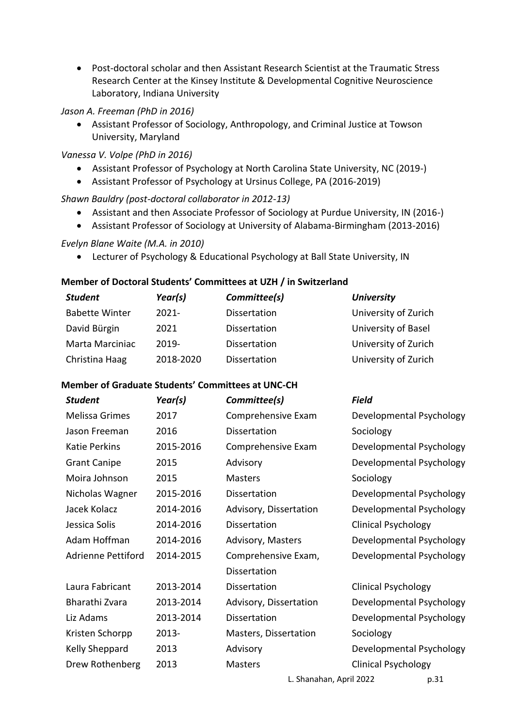Post-doctoral scholar and then Assistant Research Scientist at the Traumatic Stress Research Center at the Kinsey Institute & Developmental Cognitive Neuroscience Laboratory, Indiana University

*Jason A. Freeman (PhD in 2016)*

 Assistant Professor of Sociology, Anthropology, and Criminal Justice at Towson University, Maryland

*Vanessa V. Volpe (PhD in 2016)*

- Assistant Professor of Psychology at North Carolina State University, NC (2019-)
- Assistant Professor of Psychology at Ursinus College, PA (2016-2019)

### *Shawn Bauldry (post-doctoral collaborator in 2012-13)*

- Assistant and then Associate Professor of Sociology at Purdue University, IN (2016-)
- Assistant Professor of Sociology at University of Alabama-Birmingham (2013-2016)

#### *Evelyn Blane Waite (M.A. in 2010)*

Lecturer of Psychology & Educational Psychology at Ball State University, IN

#### **Member of Doctoral Students' Committees at UZH / in Switzerland**

| <b>Student</b>         | Year(s)   | Committee(s) | <b>University</b>    |
|------------------------|-----------|--------------|----------------------|
| <b>Babette Winter</b>  | $2021 -$  | Dissertation | University of Zurich |
| David Bürgin           | 2021      | Dissertation | University of Basel  |
| <b>Marta Marciniac</b> | $2019 -$  | Dissertation | University of Zurich |
| Christina Haag         | 2018-2020 | Dissertation | University of Zurich |

#### **Member of Graduate Students' Committees at UNC-CH**

| <b>Student</b>            | Year(s)   | Committee(s)            | <b>Field</b>               |
|---------------------------|-----------|-------------------------|----------------------------|
| Melissa Grimes            | 2017      | Comprehensive Exam      | Developmental Psychology   |
| Jason Freeman             | 2016      | Dissertation            | Sociology                  |
| <b>Katie Perkins</b>      | 2015-2016 | Comprehensive Exam      | Developmental Psychology   |
| <b>Grant Canipe</b>       | 2015      | Advisory                | Developmental Psychology   |
| Moira Johnson             | 2015      | <b>Masters</b>          | Sociology                  |
| Nicholas Wagner           | 2015-2016 | Dissertation            | Developmental Psychology   |
| Jacek Kolacz              | 2014-2016 | Advisory, Dissertation  | Developmental Psychology   |
| Jessica Solis             | 2014-2016 | <b>Dissertation</b>     | <b>Clinical Psychology</b> |
| Adam Hoffman              | 2014-2016 | Advisory, Masters       | Developmental Psychology   |
| <b>Adrienne Pettiford</b> | 2014-2015 | Comprehensive Exam,     | Developmental Psychology   |
|                           |           | Dissertation            |                            |
| Laura Fabricant           | 2013-2014 | Dissertation            | <b>Clinical Psychology</b> |
| Bharathi Zvara            | 2013-2014 | Advisory, Dissertation  | Developmental Psychology   |
| Liz Adams                 | 2013-2014 | Dissertation            | Developmental Psychology   |
| Kristen Schorpp           | 2013-     | Masters, Dissertation   | Sociology                  |
| Kelly Sheppard            | 2013      | Advisory                | Developmental Psychology   |
| Drew Rothenberg           | 2013      | <b>Masters</b>          | <b>Clinical Psychology</b> |
|                           |           | L. Shanahan, April 2022 | p.31                       |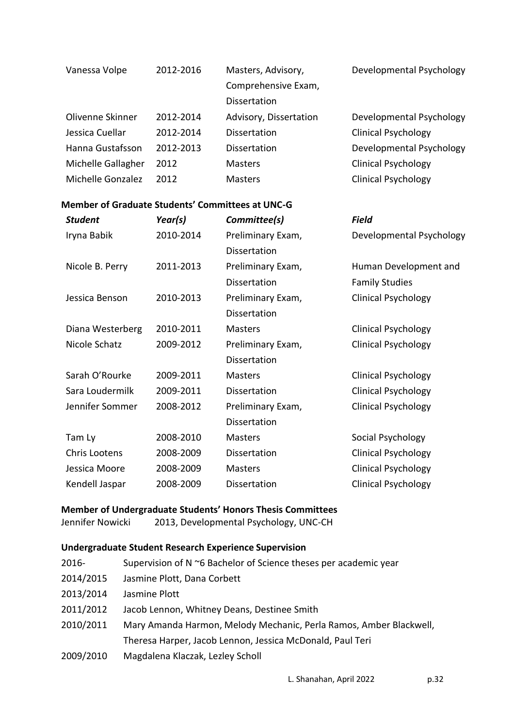| Vanessa Volpe      | 2012-2016 | Masters, Advisory,     | Developmental Psychology   |
|--------------------|-----------|------------------------|----------------------------|
|                    |           | Comprehensive Exam,    |                            |
|                    |           | <b>Dissertation</b>    |                            |
| Olivenne Skinner   | 2012-2014 | Advisory, Dissertation | Developmental Psychology   |
| Jessica Cuellar    | 2012-2014 | <b>Dissertation</b>    | <b>Clinical Psychology</b> |
| Hanna Gustafsson   | 2012-2013 | <b>Dissertation</b>    | Developmental Psychology   |
| Michelle Gallagher | 2012      | <b>Masters</b>         | <b>Clinical Psychology</b> |
| Michelle Gonzalez  | 2012      | <b>Masters</b>         | <b>Clinical Psychology</b> |

### **Member of Graduate Students' Committees at UNC-G**

| <b>Student</b>       | Year(s)   | Committee(s)        | <b>Field</b>               |
|----------------------|-----------|---------------------|----------------------------|
| Iryna Babik          | 2010-2014 | Preliminary Exam,   | Developmental Psychology   |
|                      |           | <b>Dissertation</b> |                            |
| Nicole B. Perry      | 2011-2013 | Preliminary Exam,   | Human Development and      |
|                      |           | <b>Dissertation</b> | <b>Family Studies</b>      |
| Jessica Benson       | 2010-2013 | Preliminary Exam,   | <b>Clinical Psychology</b> |
|                      |           | Dissertation        |                            |
| Diana Westerberg     | 2010-2011 | <b>Masters</b>      | <b>Clinical Psychology</b> |
| Nicole Schatz        | 2009-2012 | Preliminary Exam,   | <b>Clinical Psychology</b> |
|                      |           | Dissertation        |                            |
| Sarah O'Rourke       | 2009-2011 | Masters             | <b>Clinical Psychology</b> |
| Sara Loudermilk      | 2009-2011 | Dissertation        | <b>Clinical Psychology</b> |
| Jennifer Sommer      | 2008-2012 | Preliminary Exam,   | <b>Clinical Psychology</b> |
|                      |           | Dissertation        |                            |
| Tam Ly               | 2008-2010 | Masters             | Social Psychology          |
| <b>Chris Lootens</b> | 2008-2009 | Dissertation        | <b>Clinical Psychology</b> |
| Jessica Moore        | 2008-2009 | Masters             | <b>Clinical Psychology</b> |
| Kendell Jaspar       | 2008-2009 | Dissertation        | <b>Clinical Psychology</b> |
|                      |           |                     |                            |

## **Member of Undergraduate Students' Honors Thesis Committees**

Jennifer Nowicki 2013, Developmental Psychology, UNC-CH

## **Undergraduate Student Research Experience Supervision**

| 2016-     | Supervision of N ~6 Bachelor of Science theses per academic year   |
|-----------|--------------------------------------------------------------------|
| 2014/2015 | Jasmine Plott, Dana Corbett                                        |
| 2013/2014 | Jasmine Plott                                                      |
| 2011/2012 | Jacob Lennon, Whitney Deans, Destinee Smith                        |
| 2010/2011 | Mary Amanda Harmon, Melody Mechanic, Perla Ramos, Amber Blackwell, |
|           | Theresa Harper, Jacob Lennon, Jessica McDonald, Paul Teri          |
| 2009/2010 | Magdalena Klaczak, Lezley Scholl                                   |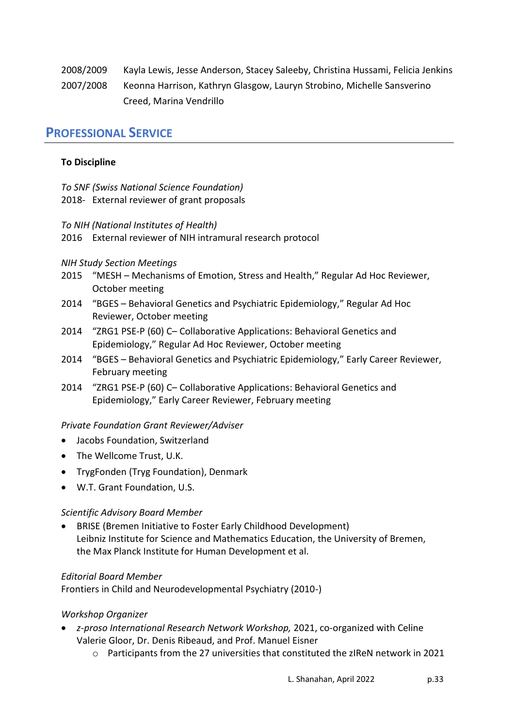2008/2009 Kayla Lewis, Jesse Anderson, Stacey Saleeby, Christina Hussami, Felicia Jenkins 2007/2008 Keonna Harrison, Kathryn Glasgow, Lauryn Strobino, Michelle Sansverino Creed, Marina Vendrillo

## **PROFESSIONAL SERVICE**

## **To Discipline**

- *To SNF (Swiss National Science Foundation)*
- 2018- External reviewer of grant proposals
- *To NIH (National Institutes of Health)*
- 2016 External reviewer of NIH intramural research protocol

## *NIH Study Section Meetings*

- 2015 "MESH Mechanisms of Emotion, Stress and Health," Regular Ad Hoc Reviewer, October meeting
- 2014 "BGES Behavioral Genetics and Psychiatric Epidemiology," Regular Ad Hoc Reviewer, October meeting
- 2014 "ZRG1 PSE-P (60) C– Collaborative Applications: Behavioral Genetics and Epidemiology," Regular Ad Hoc Reviewer, October meeting
- 2014 "BGES Behavioral Genetics and Psychiatric Epidemiology," Early Career Reviewer, February meeting
- 2014 "ZRG1 PSE-P (60) C– Collaborative Applications: Behavioral Genetics and Epidemiology," Early Career Reviewer, February meeting

## *Private Foundation Grant Reviewer/Adviser*

- Jacobs Foundation, Switzerland
- The Wellcome Trust, U.K.
- TrygFonden (Tryg Foundation), Denmark
- W.T. Grant Foundation, U.S.

## *Scientific Advisory Board Member*

 BRISE (Bremen Initiative to Foster Early Childhood Development) Leibniz Institute for Science and Mathematics Education, the University of Bremen, the Max Planck Institute for Human Development et al.

### *Editorial Board Member*

Frontiers in Child and Neurodevelopmental Psychiatry (2010-)

## *Workshop Organizer*

- *z-proso International Research Network Workshop,* 2021, co-organized with Celine Valerie Gloor, Dr. Denis Ribeaud, and Prof. Manuel Eisner
	- $\circ$  Participants from the 27 universities that constituted the zIReN network in 2021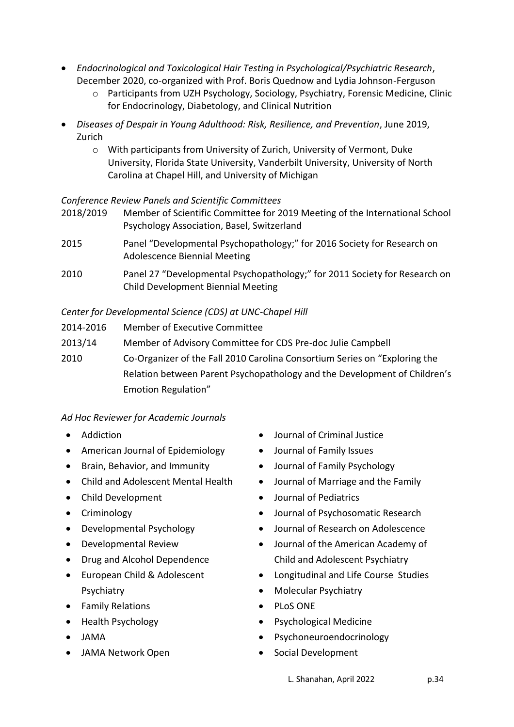- *Endocrinological and Toxicological Hair Testing in Psychological/Psychiatric Research*, December 2020, co-organized with Prof. Boris Quednow and Lydia Johnson-Ferguson
	- o Participants from UZH Psychology, Sociology, Psychiatry, Forensic Medicine, Clinic for Endocrinology, Diabetology, and Clinical Nutrition
- *Diseases of Despair in Young Adulthood: Risk, Resilience, and Prevention*, June 2019, Zurich
	- o With participants from University of Zurich, University of Vermont, Duke University, Florida State University, Vanderbilt University, University of North Carolina at Chapel Hill, and University of Michigan

## *Conference Review Panels and Scientific Committees*

- 2018/2019 Member of Scientific Committee for 2019 Meeting of the International School Psychology Association, Basel, Switzerland
- 2015 Panel "Developmental Psychopathology;" for 2016 Society for Research on Adolescence Biennial Meeting
- 2010 Panel 27 "Developmental Psychopathology;" for 2011 Society for Research on Child Development Biennial Meeting

## *Center for Developmental Science (CDS) at UNC-Chapel Hill*

- 2014-2016 Member of Executive Committee
- 2013/14 Member of Advisory Committee for CDS Pre-doc Julie Campbell
- 2010 Co-Organizer of the Fall 2010 Carolina Consortium Series on "Exploring the Relation between Parent Psychopathology and the Development of Children's Emotion Regulation"

## *Ad Hoc Reviewer for Academic Journals*

- Addiction
- American Journal of Epidemiology
- Brain, Behavior, and Immunity
- Child and Adolescent Mental Health
- Child Development
- Criminology
- Developmental Psychology
- Developmental Review
- Drug and Alcohol Dependence
- European Child & Adolescent Psychiatry
- Family Relations
- Health Psychology
- JAMA
- JAMA Network Open
- Journal of Criminal Justice
- Journal of Family Issues
- Journal of Family Psychology
- Journal of Marriage and the Family
- Journal of Pediatrics
- Journal of Psychosomatic Research
- Journal of Research on Adolescence
- Journal of the American Academy of Child and Adolescent Psychiatry
- Longitudinal and Life Course Studies
- Molecular Psychiatry
- PLoS ONE
- Psychological Medicine
- Psychoneuroendocrinology
- Social Development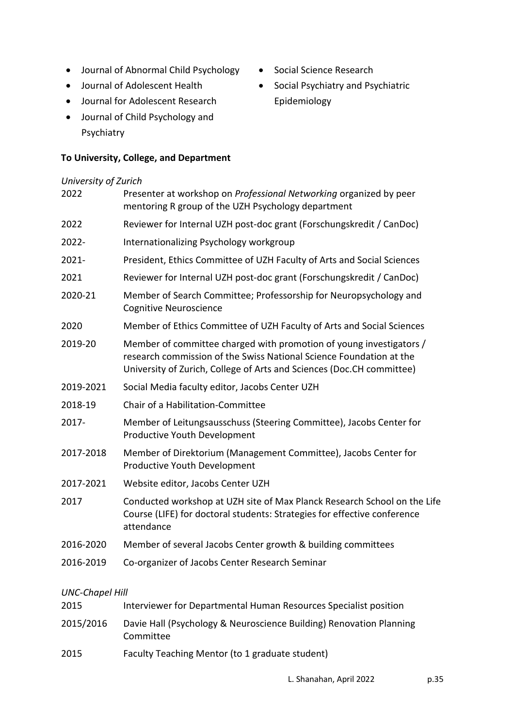- Journal of Abnormal Child Psychology
- Journal of Adolescent Health
- Journal for Adolescent Research
- Journal of Child Psychology and Psychiatry

## **To University, College, and Department**

# *University of Zurich* 2022 Presenter at workshop on *Professional Networking* organized by peer mentoring R group of the UZH Psychology department 2022 Reviewer for Internal UZH post-doc grant (Forschungskredit / CanDoc) 2022- Internationalizing Psychology workgroup 2021- President, Ethics Committee of UZH Faculty of Arts and Social Sciences 2021 Reviewer for Internal UZH post-doc grant (Forschungskredit / CanDoc) 2020-21 Member of Search Committee; Professorship for Neuropsychology and Cognitive Neuroscience 2020 Member of Ethics Committee of UZH Faculty of Arts and Social Sciences 2019-20 Member of committee charged with promotion of young investigators / research commission of the Swiss National Science Foundation at the University of Zurich, College of Arts and Sciences (Doc.CH committee) 2019-2021 Social Media faculty editor, Jacobs Center UZH 2018-19 Chair of a Habilitation-Committee 2017- Member of Leitungsausschuss (Steering Committee), Jacobs Center for Productive Youth Development 2017-2018 Member of Direktorium (Management Committee), Jacobs Center for Productive Youth Development 2017-2021 Website editor, Jacobs Center UZH 2017 Conducted workshop at UZH site of Max Planck Research School on the Life Course (LIFE) for doctoral students: Strategies for effective conference attendance 2016-2020 Member of several Jacobs Center growth & building committees 2016-2019 Co-organizer of Jacobs Center Research Seminar

## *UNC-Chapel Hill*

- 2015 Interviewer for Departmental Human Resources Specialist position
- 2015/2016 Davie Hall (Psychology & Neuroscience Building) Renovation Planning Committee
- 2015 Faculty Teaching Mentor (to 1 graduate student)
- Social Science Research
- Social Psychiatry and Psychiatric Epidemiology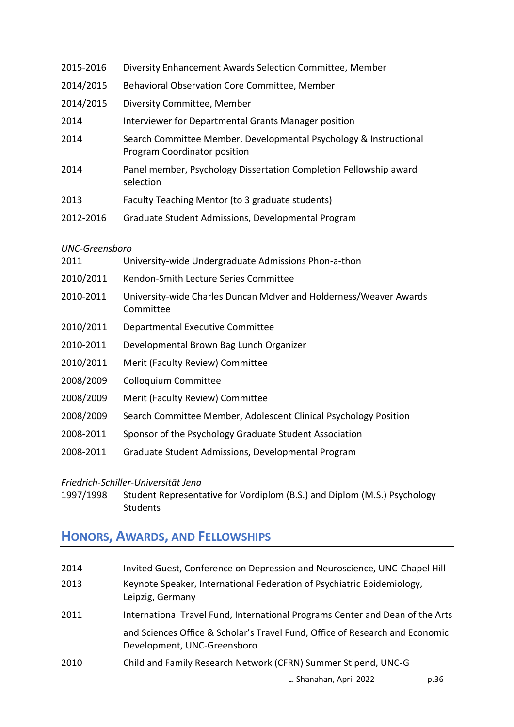| 2015-2016             | Diversity Enhancement Awards Selection Committee, Member                                          |
|-----------------------|---------------------------------------------------------------------------------------------------|
| 2014/2015             | Behavioral Observation Core Committee, Member                                                     |
| 2014/2015             | Diversity Committee, Member                                                                       |
| 2014                  | Interviewer for Departmental Grants Manager position                                              |
| 2014                  | Search Committee Member, Developmental Psychology & Instructional<br>Program Coordinator position |
| 2014                  | Panel member, Psychology Dissertation Completion Fellowship award<br>selection                    |
| 2013                  | Faculty Teaching Mentor (to 3 graduate students)                                                  |
| 2012-2016             | Graduate Student Admissions, Developmental Program                                                |
| <b>UNC-Greensboro</b> |                                                                                                   |
| 2011                  | University-wide Undergraduate Admissions Phon-a-thon                                              |
| 2010/2011             | Kendon-Smith Lecture Series Committee                                                             |

- 2010-2011 University-wide Charles Duncan McIver and Holderness/Weaver Awards Committee
- 2010/2011 Departmental Executive Committee
- 2010-2011 Developmental Brown Bag Lunch Organizer
- 2010/2011 Merit (Faculty Review) Committee
- 2008/2009 Colloquium Committee
- 2008/2009 Merit (Faculty Review) Committee
- 2008/2009 Search Committee Member, Adolescent Clinical Psychology Position
- 2008-2011 Sponsor of the Psychology Graduate Student Association
- 2008-2011 Graduate Student Admissions, Developmental Program

### *Friedrich-Schiller-Universität Jena*

1997/1998 Student Representative for Vordiplom (B.S.) and Diplom (M.S.) Psychology **Students** 

## **HONORS, AWARDS, AND FELLOWSHIPS**

| 2014 | Invited Guest, Conference on Depression and Neuroscience, UNC-Chapel Hill                                   |
|------|-------------------------------------------------------------------------------------------------------------|
| 2013 | Keynote Speaker, International Federation of Psychiatric Epidemiology,<br>Leipzig, Germany                  |
| 2011 | International Travel Fund, International Programs Center and Dean of the Arts                               |
|      | and Sciences Office & Scholar's Travel Fund, Office of Research and Economic<br>Development, UNC-Greensboro |
| 2010 | Child and Family Research Network (CFRN) Summer Stipend, UNC-G                                              |
|      |                                                                                                             |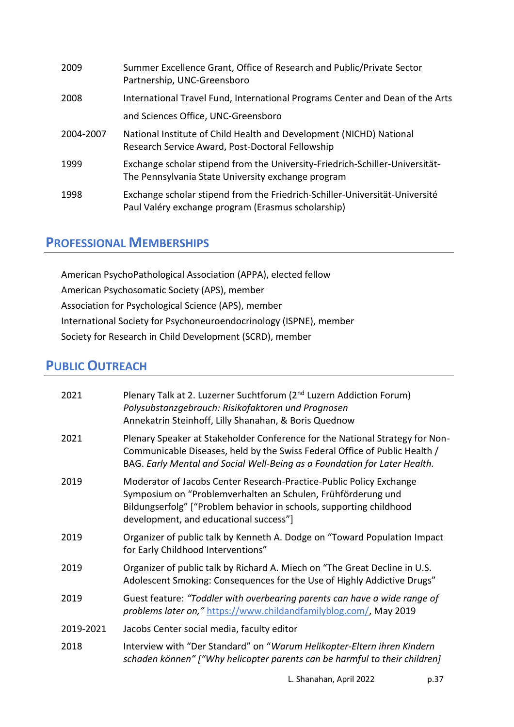| 2009      | Summer Excellence Grant, Office of Research and Public/Private Sector<br>Partnership, UNC-Greensboro                               |
|-----------|------------------------------------------------------------------------------------------------------------------------------------|
| 2008      | International Travel Fund, International Programs Center and Dean of the Arts                                                      |
|           | and Sciences Office, UNC-Greensboro                                                                                                |
| 2004-2007 | National Institute of Child Health and Development (NICHD) National<br>Research Service Award, Post-Doctoral Fellowship            |
| 1999      | Exchange scholar stipend from the University-Friedrich-Schiller-Universität-<br>The Pennsylvania State University exchange program |
| 1998      | Exchange scholar stipend from the Friedrich-Schiller-Universität-Université<br>Paul Valéry exchange program (Erasmus scholarship)  |

## **PROFESSIONAL MEMBERSHIPS**

American PsychoPathological Association (APPA), elected fellow American Psychosomatic Society (APS), member Association for Psychological Science (APS), member International Society for Psychoneuroendocrinology (ISPNE), member Society for Research in Child Development (SCRD), member

# **PUBLIC OUTREACH**

| 2021      | Plenary Talk at 2. Luzerner Suchtforum (2 <sup>nd</sup> Luzern Addiction Forum)<br>Polysubstanzgebrauch: Risikofaktoren und Prognosen<br>Annekatrin Steinhoff, Lilly Shanahan, & Boris Quednow                                                       |
|-----------|------------------------------------------------------------------------------------------------------------------------------------------------------------------------------------------------------------------------------------------------------|
| 2021      | Plenary Speaker at Stakeholder Conference for the National Strategy for Non-<br>Communicable Diseases, held by the Swiss Federal Office of Public Health /<br>BAG. Early Mental and Social Well-Being as a Foundation for Later Health.              |
| 2019      | Moderator of Jacobs Center Research-Practice-Public Policy Exchange<br>Symposium on "Problemverhalten an Schulen, Frühförderung und<br>Bildungserfolg" ["Problem behavior in schools, supporting childhood<br>development, and educational success"] |
| 2019      | Organizer of public talk by Kenneth A. Dodge on "Toward Population Impact<br>for Early Childhood Interventions"                                                                                                                                      |
| 2019      | Organizer of public talk by Richard A. Miech on "The Great Decline in U.S.<br>Adolescent Smoking: Consequences for the Use of Highly Addictive Drugs"                                                                                                |
| 2019      | Guest feature: "Toddler with overbearing parents can have a wide range of<br>problems later on," https://www.childandfamilyblog.com/, May 2019                                                                                                       |
| 2019-2021 | Jacobs Center social media, faculty editor                                                                                                                                                                                                           |
| 2018      | Interview with "Der Standard" on "Warum Helikopter-Eltern ihren Kindern<br>schaden können" ["Why helicopter parents can be harmful to their children]                                                                                                |